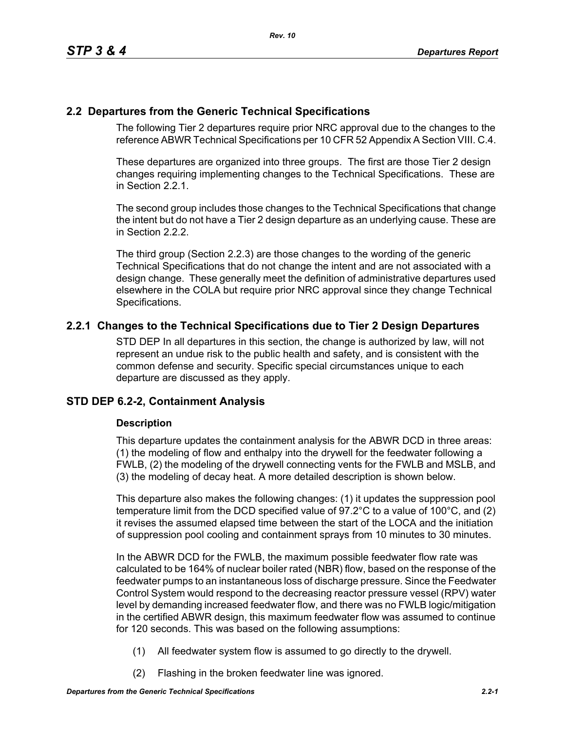# **2.2 Departures from the Generic Technical Specifications**

The following Tier 2 departures require prior NRC approval due to the changes to the reference ABWR Technical Specifications per 10 CFR 52 Appendix A Section VIII. C.4.

These departures are organized into three groups. The first are those Tier 2 design changes requiring implementing changes to the Technical Specifications. These are in Section 2.2.1.

The second group includes those changes to the Technical Specifications that change the intent but do not have a Tier 2 design departure as an underlying cause. These are in Section 2.2.2.

The third group (Section 2.2.3) are those changes to the wording of the generic Technical Specifications that do not change the intent and are not associated with a design change. These generally meet the definition of administrative departures used elsewhere in the COLA but require prior NRC approval since they change Technical Specifications.

# **2.2.1 Changes to the Technical Specifications due to Tier 2 Design Departures**

STD DEP In all departures in this section, the change is authorized by law, will not represent an undue risk to the public health and safety, and is consistent with the common defense and security. Specific special circumstances unique to each departure are discussed as they apply.

# **STD DEP 6.2-2, Containment Analysis**

## **Description**

This departure updates the containment analysis for the ABWR DCD in three areas: (1) the modeling of flow and enthalpy into the drywell for the feedwater following a FWLB, (2) the modeling of the drywell connecting vents for the FWLB and MSLB, and (3) the modeling of decay heat. A more detailed description is shown below.

This departure also makes the following changes: (1) it updates the suppression pool temperature limit from the DCD specified value of 97.2°C to a value of 100°C, and (2) it revises the assumed elapsed time between the start of the LOCA and the initiation of suppression pool cooling and containment sprays from 10 minutes to 30 minutes.

In the ABWR DCD for the FWLB, the maximum possible feedwater flow rate was calculated to be 164% of nuclear boiler rated (NBR) flow, based on the response of the feedwater pumps to an instantaneous loss of discharge pressure. Since the Feedwater Control System would respond to the decreasing reactor pressure vessel (RPV) water level by demanding increased feedwater flow, and there was no FWLB logic/mitigation in the certified ABWR design, this maximum feedwater flow was assumed to continue for 120 seconds. This was based on the following assumptions:

- (1) All feedwater system flow is assumed to go directly to the drywell.
- (2) Flashing in the broken feedwater line was ignored.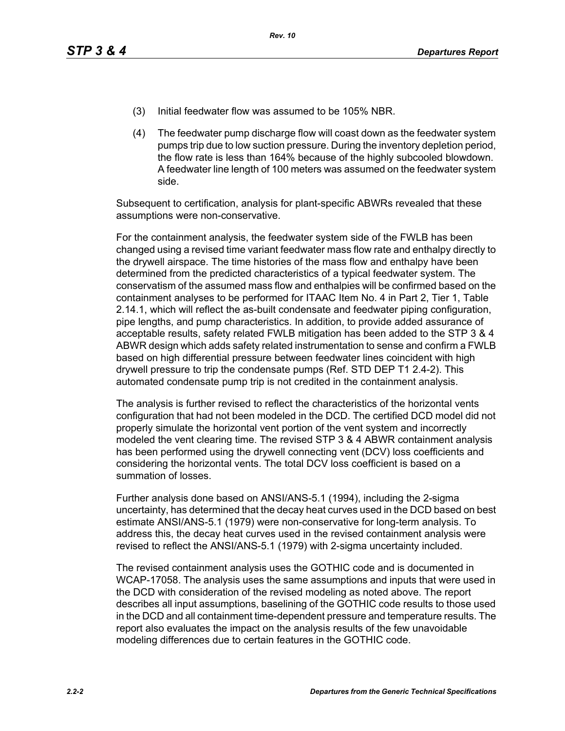- (3) Initial feedwater flow was assumed to be 105% NBR.
- (4) The feedwater pump discharge flow will coast down as the feedwater system pumps trip due to low suction pressure. During the inventory depletion period, the flow rate is less than 164% because of the highly subcooled blowdown. A feedwater line length of 100 meters was assumed on the feedwater system side.

Subsequent to certification, analysis for plant-specific ABWRs revealed that these assumptions were non-conservative.

For the containment analysis, the feedwater system side of the FWLB has been changed using a revised time variant feedwater mass flow rate and enthalpy directly to the drywell airspace. The time histories of the mass flow and enthalpy have been determined from the predicted characteristics of a typical feedwater system. The conservatism of the assumed mass flow and enthalpies will be confirmed based on the containment analyses to be performed for ITAAC Item No. 4 in Part 2, Tier 1, Table 2.14.1, which will reflect the as-built condensate and feedwater piping configuration, pipe lengths, and pump characteristics. In addition, to provide added assurance of acceptable results, safety related FWLB mitigation has been added to the STP 3 & 4 ABWR design which adds safety related instrumentation to sense and confirm a FWLB based on high differential pressure between feedwater lines coincident with high drywell pressure to trip the condensate pumps (Ref. STD DEP T1 2.4-2). This automated condensate pump trip is not credited in the containment analysis.

The analysis is further revised to reflect the characteristics of the horizontal vents configuration that had not been modeled in the DCD. The certified DCD model did not properly simulate the horizontal vent portion of the vent system and incorrectly modeled the vent clearing time. The revised STP 3 & 4 ABWR containment analysis has been performed using the drywell connecting vent (DCV) loss coefficients and considering the horizontal vents. The total DCV loss coefficient is based on a summation of losses.

Further analysis done based on ANSI/ANS-5.1 (1994), including the 2-sigma uncertainty, has determined that the decay heat curves used in the DCD based on best estimate ANSI/ANS-5.1 (1979) were non-conservative for long-term analysis. To address this, the decay heat curves used in the revised containment analysis were revised to reflect the ANSI/ANS-5.1 (1979) with 2-sigma uncertainty included.

The revised containment analysis uses the GOTHIC code and is documented in WCAP-17058. The analysis uses the same assumptions and inputs that were used in the DCD with consideration of the revised modeling as noted above. The report describes all input assumptions, baselining of the GOTHIC code results to those used in the DCD and all containment time-dependent pressure and temperature results. The report also evaluates the impact on the analysis results of the few unavoidable modeling differences due to certain features in the GOTHIC code.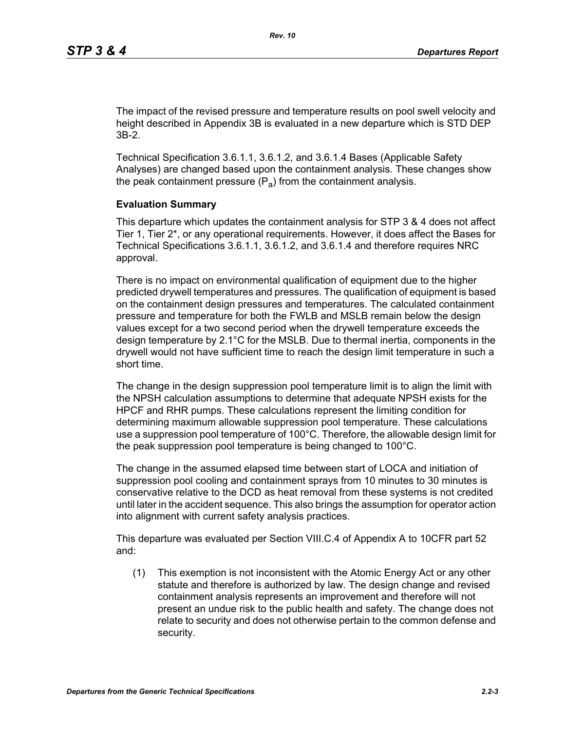The impact of the revised pressure and temperature results on pool swell velocity and height described in Appendix 3B is evaluated in a new departure which is STD DEP 3B-2.

Technical Specification 3.6.1.1, 3.6.1.2, and 3.6.1.4 Bases (Applicable Safety Analyses) are changed based upon the containment analysis. These changes show the peak containment pressure  $(P_a)$  from the containment analysis.

#### **Evaluation Summary**

This departure which updates the containment analysis for STP 3 & 4 does not affect Tier 1, Tier 2\*, or any operational requirements. However, it does affect the Bases for Technical Specifications 3.6.1.1, 3.6.1.2, and 3.6.1.4 and therefore requires NRC approval.

There is no impact on environmental qualification of equipment due to the higher predicted drywell temperatures and pressures. The qualification of equipment is based on the containment design pressures and temperatures. The calculated containment pressure and temperature for both the FWLB and MSLB remain below the design values except for a two second period when the drywell temperature exceeds the design temperature by 2.1°C for the MSLB. Due to thermal inertia, components in the drywell would not have sufficient time to reach the design limit temperature in such a short time.

The change in the design suppression pool temperature limit is to align the limit with the NPSH calculation assumptions to determine that adequate NPSH exists for the HPCF and RHR pumps. These calculations represent the limiting condition for determining maximum allowable suppression pool temperature. These calculations use a suppression pool temperature of 100°C. Therefore, the allowable design limit for the peak suppression pool temperature is being changed to 100°C.

The change in the assumed elapsed time between start of LOCA and initiation of suppression pool cooling and containment sprays from 10 minutes to 30 minutes is conservative relative to the DCD as heat removal from these systems is not credited until later in the accident sequence. This also brings the assumption for operator action into alignment with current safety analysis practices.

This departure was evaluated per Section VIII.C.4 of Appendix A to 10CFR part 52 and:

(1) This exemption is not inconsistent with the Atomic Energy Act or any other statute and therefore is authorized by law. The design change and revised containment analysis represents an improvement and therefore will not present an undue risk to the public health and safety. The change does not relate to security and does not otherwise pertain to the common defense and security.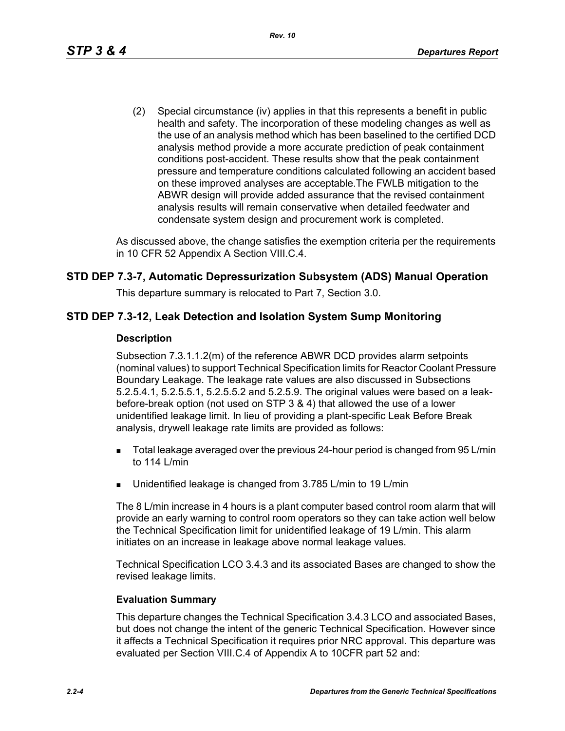(2) Special circumstance (iv) applies in that this represents a benefit in public health and safety. The incorporation of these modeling changes as well as the use of an analysis method which has been baselined to the certified DCD analysis method provide a more accurate prediction of peak containment conditions post-accident. These results show that the peak containment pressure and temperature conditions calculated following an accident based on these improved analyses are acceptable.The FWLB mitigation to the ABWR design will provide added assurance that the revised containment analysis results will remain conservative when detailed feedwater and condensate system design and procurement work is completed.

As discussed above, the change satisfies the exemption criteria per the requirements in 10 CFR 52 Appendix A Section VIII.C.4.

## **STD DEP 7.3-7, Automatic Depressurization Subsystem (ADS) Manual Operation**

This departure summary is relocated to Part 7, Section 3.0.

## **STD DEP 7.3-12, Leak Detection and Isolation System Sump Monitoring**

#### **Description**

Subsection 7.3.1.1.2(m) of the reference ABWR DCD provides alarm setpoints (nominal values) to support Technical Specification limits for Reactor Coolant Pressure Boundary Leakage. The leakage rate values are also discussed in Subsections 5.2.5.4.1, 5.2.5.5.1, 5.2.5.5.2 and 5.2.5.9. The original values were based on a leakbefore-break option (not used on STP 3 & 4) that allowed the use of a lower unidentified leakage limit. In lieu of providing a plant-specific Leak Before Break analysis, drywell leakage rate limits are provided as follows:

- **Total leakage averaged over the previous 24-hour period is changed from 95 L/min** to 114 L/min
- Unidentified leakage is changed from 3.785 L/min to 19 L/min

The 8 L/min increase in 4 hours is a plant computer based control room alarm that will provide an early warning to control room operators so they can take action well below the Technical Specification limit for unidentified leakage of 19 L/min. This alarm initiates on an increase in leakage above normal leakage values.

Technical Specification LCO 3.4.3 and its associated Bases are changed to show the revised leakage limits.

#### **Evaluation Summary**

This departure changes the Technical Specification 3.4.3 LCO and associated Bases, but does not change the intent of the generic Technical Specification. However since it affects a Technical Specification it requires prior NRC approval. This departure was evaluated per Section VIII.C.4 of Appendix A to 10CFR part 52 and: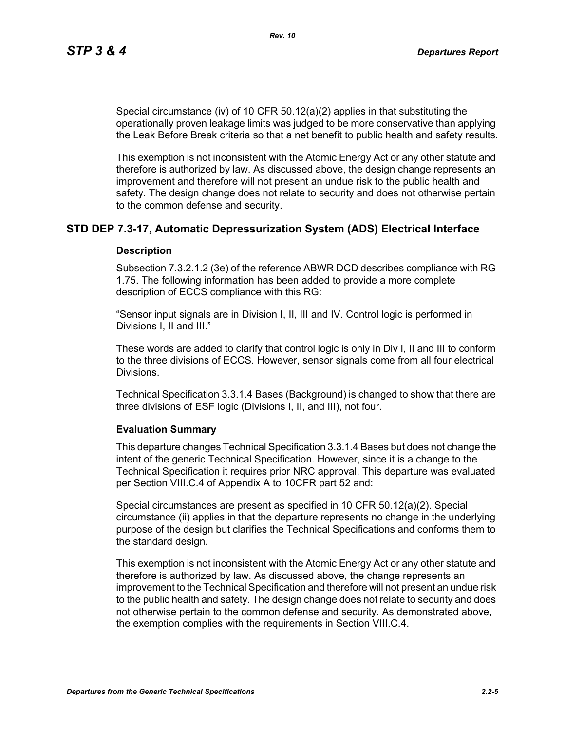Special circumstance (iv) of 10 CFR 50.12(a)(2) applies in that substituting the operationally proven leakage limits was judged to be more conservative than applying the Leak Before Break criteria so that a net benefit to public health and safety results.

This exemption is not inconsistent with the Atomic Energy Act or any other statute and therefore is authorized by law. As discussed above, the design change represents an improvement and therefore will not present an undue risk to the public health and safety. The design change does not relate to security and does not otherwise pertain to the common defense and security.

## **STD DEP 7.3-17, Automatic Depressurization System (ADS) Electrical Interface**

#### **Description**

Subsection 7.3.2.1.2 (3e) of the reference ABWR DCD describes compliance with RG 1.75. The following information has been added to provide a more complete description of ECCS compliance with this RG:

"Sensor input signals are in Division I, II, III and IV. Control logic is performed in Divisions I, II and III."

These words are added to clarify that control logic is only in Div I, II and III to conform to the three divisions of ECCS. However, sensor signals come from all four electrical Divisions.

Technical Specification 3.3.1.4 Bases (Background) is changed to show that there are three divisions of ESF logic (Divisions I, II, and III), not four.

#### **Evaluation Summary**

This departure changes Technical Specification 3.3.1.4 Bases but does not change the intent of the generic Technical Specification. However, since it is a change to the Technical Specification it requires prior NRC approval. This departure was evaluated per Section VIII.C.4 of Appendix A to 10CFR part 52 and:

Special circumstances are present as specified in 10 CFR 50.12(a)(2). Special circumstance (ii) applies in that the departure represents no change in the underlying purpose of the design but clarifies the Technical Specifications and conforms them to the standard design.

This exemption is not inconsistent with the Atomic Energy Act or any other statute and therefore is authorized by law. As discussed above, the change represents an improvement to the Technical Specification and therefore will not present an undue risk to the public health and safety. The design change does not relate to security and does not otherwise pertain to the common defense and security. As demonstrated above, the exemption complies with the requirements in Section VIII.C.4.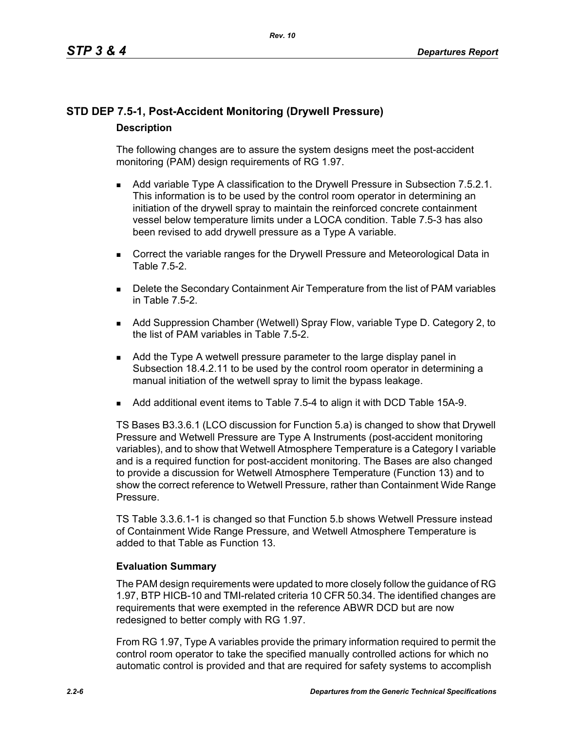# **STD DEP 7.5-1, Post-Accident Monitoring (Drywell Pressure) Description**

The following changes are to assure the system designs meet the post-accident monitoring (PAM) design requirements of RG 1.97.

- **Add variable Type A classification to the Drywell Pressure in Subsection 7.5.2.1.** This information is to be used by the control room operator in determining an initiation of the drywell spray to maintain the reinforced concrete containment vessel below temperature limits under a LOCA condition. Table 7.5-3 has also been revised to add drywell pressure as a Type A variable.
- **Correct the variable ranges for the Drywell Pressure and Meteorological Data in** Table 7.5-2.
- **Delete the Secondary Containment Air Temperature from the list of PAM variables** in Table 7.5-2.
- Add Suppression Chamber (Wetwell) Spray Flow, variable Type D. Category 2, to the list of PAM variables in Table 7.5-2.
- Add the Type A wetwell pressure parameter to the large display panel in Subsection 18.4.2.11 to be used by the control room operator in determining a manual initiation of the wetwell spray to limit the bypass leakage.
- Add additional event items to Table 7.5-4 to align it with DCD Table 15A-9.

TS Bases B3.3.6.1 (LCO discussion for Function 5.a) is changed to show that Drywell Pressure and Wetwell Pressure are Type A Instruments (post-accident monitoring variables), and to show that Wetwell Atmosphere Temperature is a Category I variable and is a required function for post-accident monitoring. The Bases are also changed to provide a discussion for Wetwell Atmosphere Temperature (Function 13) and to show the correct reference to Wetwell Pressure, rather than Containment Wide Range Pressure.

TS Table 3.3.6.1-1 is changed so that Function 5.b shows Wetwell Pressure instead of Containment Wide Range Pressure, and Wetwell Atmosphere Temperature is added to that Table as Function 13.

## **Evaluation Summary**

The PAM design requirements were updated to more closely follow the guidance of RG 1.97, BTP HICB-10 and TMI-related criteria 10 CFR 50.34. The identified changes are requirements that were exempted in the reference ABWR DCD but are now redesigned to better comply with RG 1.97.

From RG 1.97, Type A variables provide the primary information required to permit the control room operator to take the specified manually controlled actions for which no automatic control is provided and that are required for safety systems to accomplish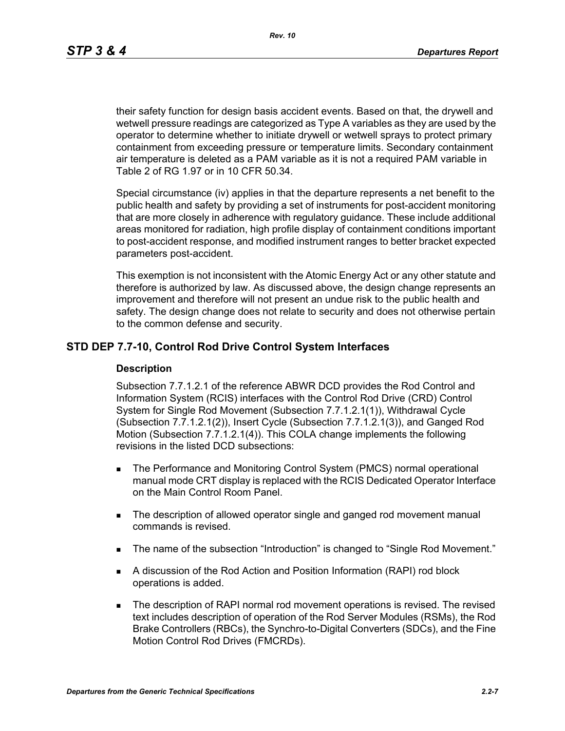*Rev. 10*

their safety function for design basis accident events. Based on that, the drywell and wetwell pressure readings are categorized as Type A variables as they are used by the operator to determine whether to initiate drywell or wetwell sprays to protect primary containment from exceeding pressure or temperature limits. Secondary containment air temperature is deleted as a PAM variable as it is not a required PAM variable in Table 2 of RG 1.97 or in 10 CFR 50.34.

Special circumstance (iv) applies in that the departure represents a net benefit to the public health and safety by providing a set of instruments for post-accident monitoring that are more closely in adherence with regulatory guidance. These include additional areas monitored for radiation, high profile display of containment conditions important to post-accident response, and modified instrument ranges to better bracket expected parameters post-accident.

This exemption is not inconsistent with the Atomic Energy Act or any other statute and therefore is authorized by law. As discussed above, the design change represents an improvement and therefore will not present an undue risk to the public health and safety. The design change does not relate to security and does not otherwise pertain to the common defense and security.

## **STD DEP 7.7-10, Control Rod Drive Control System Interfaces**

#### **Description**

Subsection 7.7.1.2.1 of the reference ABWR DCD provides the Rod Control and Information System (RCIS) interfaces with the Control Rod Drive (CRD) Control System for Single Rod Movement (Subsection 7.7.1.2.1(1)), Withdrawal Cycle (Subsection 7.7.1.2.1(2)), Insert Cycle (Subsection 7.7.1.2.1(3)), and Ganged Rod Motion (Subsection 7.7.1.2.1(4)). This COLA change implements the following revisions in the listed DCD subsections:

- **The Performance and Monitoring Control System (PMCS) normal operational** manual mode CRT display is replaced with the RCIS Dedicated Operator Interface on the Main Control Room Panel.
- The description of allowed operator single and ganged rod movement manual commands is revised.
- The name of the subsection "Introduction" is changed to "Single Rod Movement."
- A discussion of the Rod Action and Position Information (RAPI) rod block operations is added.
- **The description of RAPI normal rod movement operations is revised. The revised** text includes description of operation of the Rod Server Modules (RSMs), the Rod Brake Controllers (RBCs), the Synchro-to-Digital Converters (SDCs), and the Fine Motion Control Rod Drives (FMCRDs).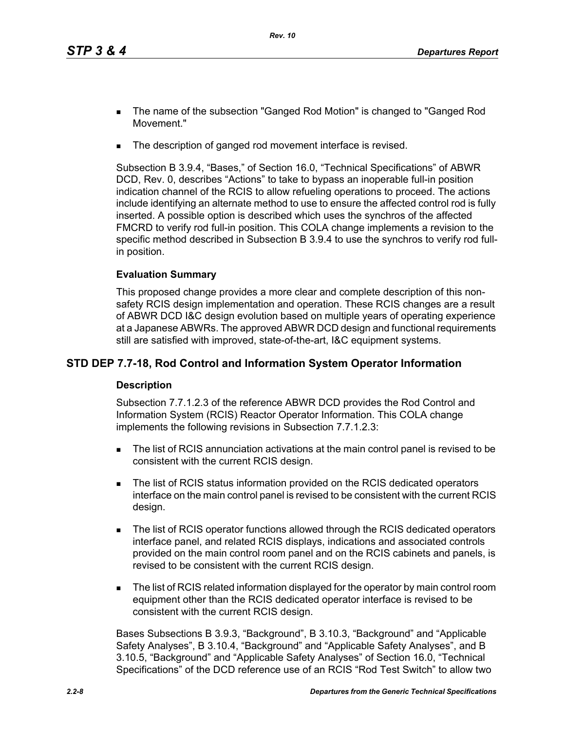- The name of the subsection "Ganged Rod Motion" is changed to "Ganged Rod Movement."
- The description of ganged rod movement interface is revised.

Subsection B 3.9.4, "Bases," of Section 16.0, "Technical Specifications" of ABWR DCD, Rev. 0, describes "Actions" to take to bypass an inoperable full-in position indication channel of the RCIS to allow refueling operations to proceed. The actions include identifying an alternate method to use to ensure the affected control rod is fully inserted. A possible option is described which uses the synchros of the affected FMCRD to verify rod full-in position. This COLA change implements a revision to the specific method described in Subsection B 3.9.4 to use the synchros to verify rod fullin position.

## **Evaluation Summary**

This proposed change provides a more clear and complete description of this nonsafety RCIS design implementation and operation. These RCIS changes are a result of ABWR DCD I&C design evolution based on multiple years of operating experience at a Japanese ABWRs. The approved ABWR DCD design and functional requirements still are satisfied with improved, state-of-the-art, I&C equipment systems.

# **STD DEP 7.7-18, Rod Control and Information System Operator Information**

## **Description**

Subsection 7.7.1.2.3 of the reference ABWR DCD provides the Rod Control and Information System (RCIS) Reactor Operator Information. This COLA change implements the following revisions in Subsection 7.7.1.2.3:

- The list of RCIS annunciation activations at the main control panel is revised to be consistent with the current RCIS design.
- The list of RCIS status information provided on the RCIS dedicated operators interface on the main control panel is revised to be consistent with the current RCIS design.
- The list of RCIS operator functions allowed through the RCIS dedicated operators interface panel, and related RCIS displays, indications and associated controls provided on the main control room panel and on the RCIS cabinets and panels, is revised to be consistent with the current RCIS design.
- The list of RCIS related information displayed for the operator by main control room equipment other than the RCIS dedicated operator interface is revised to be consistent with the current RCIS design.

Bases Subsections B 3.9.3, "Background", B 3.10.3, "Background" and "Applicable Safety Analyses", B 3.10.4, "Background" and "Applicable Safety Analyses", and B 3.10.5, "Background" and "Applicable Safety Analyses" of Section 16.0, "Technical Specifications" of the DCD reference use of an RCIS "Rod Test Switch" to allow two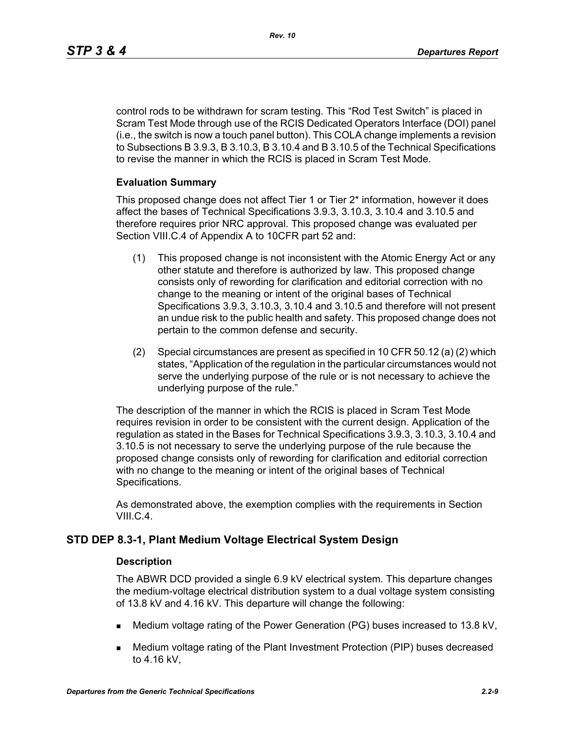control rods to be withdrawn for scram testing. This "Rod Test Switch" is placed in Scram Test Mode through use of the RCIS Dedicated Operators Interface (DOI) panel (i.e., the switch is now a touch panel button). This COLA change implements a revision to Subsections B 3.9.3, B 3.10.3, B 3.10.4 and B 3.10.5 of the Technical Specifications to revise the manner in which the RCIS is placed in Scram Test Mode.

#### **Evaluation Summary**

This proposed change does not affect Tier 1 or Tier 2\* information, however it does affect the bases of Technical Specifications 3.9.3, 3.10.3, 3.10.4 and 3.10.5 and therefore requires prior NRC approval. This proposed change was evaluated per Section VIII.C.4 of Appendix A to 10CFR part 52 and:

- (1) This proposed change is not inconsistent with the Atomic Energy Act or any other statute and therefore is authorized by law. This proposed change consists only of rewording for clarification and editorial correction with no change to the meaning or intent of the original bases of Technical Specifications 3.9.3, 3.10.3, 3.10.4 and 3.10.5 and therefore will not present an undue risk to the public health and safety. This proposed change does not pertain to the common defense and security.
- (2) Special circumstances are present as specified in 10 CFR 50.12 (a) (2) which states, "Application of the regulation in the particular circumstances would not serve the underlying purpose of the rule or is not necessary to achieve the underlying purpose of the rule."

The description of the manner in which the RCIS is placed in Scram Test Mode requires revision in order to be consistent with the current design. Application of the regulation as stated in the Bases for Technical Specifications 3.9.3, 3.10.3, 3.10.4 and 3.10.5 is not necessary to serve the underlying purpose of the rule because the proposed change consists only of rewording for clarification and editorial correction with no change to the meaning or intent of the original bases of Technical Specifications.

As demonstrated above, the exemption complies with the requirements in Section VIII.C.4.

## **STD DEP 8.3-1, Plant Medium Voltage Electrical System Design**

#### **Description**

The ABWR DCD provided a single 6.9 kV electrical system. This departure changes the medium-voltage electrical distribution system to a dual voltage system consisting of 13.8 kV and 4.16 kV. This departure will change the following:

- Medium voltage rating of the Power Generation (PG) buses increased to 13.8 kV,
- Medium voltage rating of the Plant Investment Protection (PIP) buses decreased to 4.16 kV,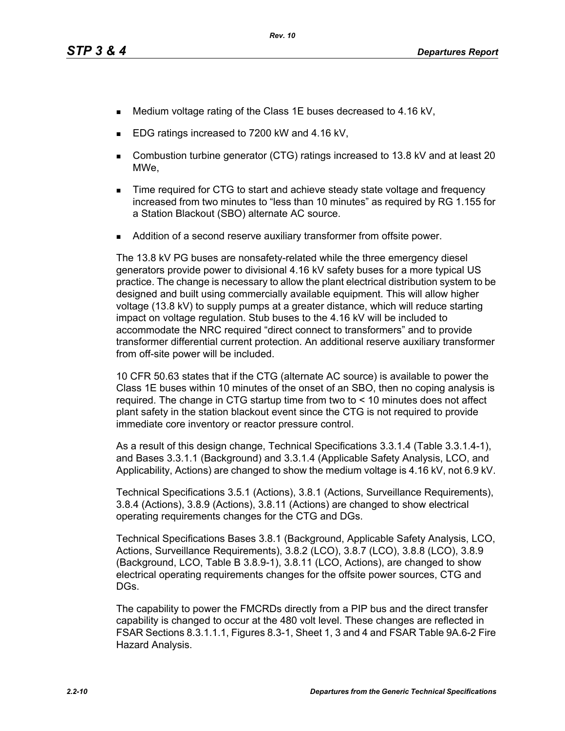- Medium voltage rating of the Class 1E buses decreased to 4.16 kV,
- EDG ratings increased to 7200 kW and 4.16 kV,
- Combustion turbine generator (CTG) ratings increased to 13.8 kV and at least 20 MWe,
- **Time required for CTG to start and achieve steady state voltage and frequency** increased from two minutes to "less than 10 minutes" as required by RG 1.155 for a Station Blackout (SBO) alternate AC source.
- Addition of a second reserve auxiliary transformer from offsite power.

The 13.8 kV PG buses are nonsafety-related while the three emergency diesel generators provide power to divisional 4.16 kV safety buses for a more typical US practice. The change is necessary to allow the plant electrical distribution system to be designed and built using commercially available equipment. This will allow higher voltage (13.8 kV) to supply pumps at a greater distance, which will reduce starting impact on voltage regulation. Stub buses to the 4.16 kV will be included to accommodate the NRC required "direct connect to transformers" and to provide transformer differential current protection. An additional reserve auxiliary transformer from off-site power will be included.

10 CFR 50.63 states that if the CTG (alternate AC source) is available to power the Class 1E buses within 10 minutes of the onset of an SBO, then no coping analysis is required. The change in CTG startup time from two to < 10 minutes does not affect plant safety in the station blackout event since the CTG is not required to provide immediate core inventory or reactor pressure control.

As a result of this design change, Technical Specifications 3.3.1.4 (Table 3.3.1.4-1), and Bases 3.3.1.1 (Background) and 3.3.1.4 (Applicable Safety Analysis, LCO, and Applicability, Actions) are changed to show the medium voltage is 4.16 kV, not 6.9 kV.

Technical Specifications 3.5.1 (Actions), 3.8.1 (Actions, Surveillance Requirements), 3.8.4 (Actions), 3.8.9 (Actions), 3.8.11 (Actions) are changed to show electrical operating requirements changes for the CTG and DGs.

Technical Specifications Bases 3.8.1 (Background, Applicable Safety Analysis, LCO, Actions, Surveillance Requirements), 3.8.2 (LCO), 3.8.7 (LCO), 3.8.8 (LCO), 3.8.9 (Background, LCO, Table B 3.8.9-1), 3.8.11 (LCO, Actions), are changed to show electrical operating requirements changes for the offsite power sources, CTG and DGs.

The capability to power the FMCRDs directly from a PIP bus and the direct transfer capability is changed to occur at the 480 volt level. These changes are reflected in FSAR Sections 8.3.1.1.1, Figures 8.3-1, Sheet 1, 3 and 4 and FSAR Table 9A.6-2 Fire Hazard Analysis.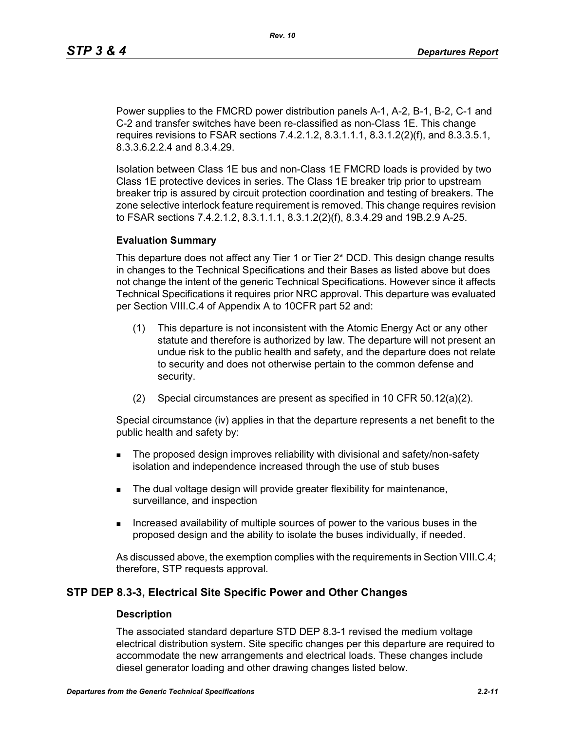Power supplies to the FMCRD power distribution panels A-1, A-2, B-1, B-2, C-1 and C-2 and transfer switches have been re-classified as non-Class 1E. This change requires revisions to FSAR sections 7.4.2.1.2, 8.3.1.1.1, 8.3.1.2(2)(f), and 8.3.3.5.1, 8.3.3.6.2.2.4 and 8.3.4.29.

Isolation between Class 1E bus and non-Class 1E FMCRD loads is provided by two Class 1E protective devices in series. The Class 1E breaker trip prior to upstream breaker trip is assured by circuit protection coordination and testing of breakers. The zone selective interlock feature requirement is removed. This change requires revision to FSAR sections 7.4.2.1.2, 8.3.1.1.1, 8.3.1.2(2)(f), 8.3.4.29 and 19B.2.9 A-25.

#### **Evaluation Summary**

This departure does not affect any Tier 1 or Tier 2\* DCD. This design change results in changes to the Technical Specifications and their Bases as listed above but does not change the intent of the generic Technical Specifications. However since it affects Technical Specifications it requires prior NRC approval. This departure was evaluated per Section VIII.C.4 of Appendix A to 10CFR part 52 and:

- (1) This departure is not inconsistent with the Atomic Energy Act or any other statute and therefore is authorized by law. The departure will not present an undue risk to the public health and safety, and the departure does not relate to security and does not otherwise pertain to the common defense and security.
- (2) Special circumstances are present as specified in 10 CFR 50.12(a)(2).

Special circumstance (iv) applies in that the departure represents a net benefit to the public health and safety by:

- **The proposed design improves reliability with divisional and safety/non-safety** isolation and independence increased through the use of stub buses
- The dual voltage design will provide greater flexibility for maintenance, surveillance, and inspection
- Increased availability of multiple sources of power to the various buses in the proposed design and the ability to isolate the buses individually, if needed.

As discussed above, the exemption complies with the requirements in Section VIII.C.4; therefore, STP requests approval.

## **STP DEP 8.3-3, Electrical Site Specific Power and Other Changes**

#### **Description**

The associated standard departure STD DEP 8.3-1 revised the medium voltage electrical distribution system. Site specific changes per this departure are required to accommodate the new arrangements and electrical loads. These changes include diesel generator loading and other drawing changes listed below.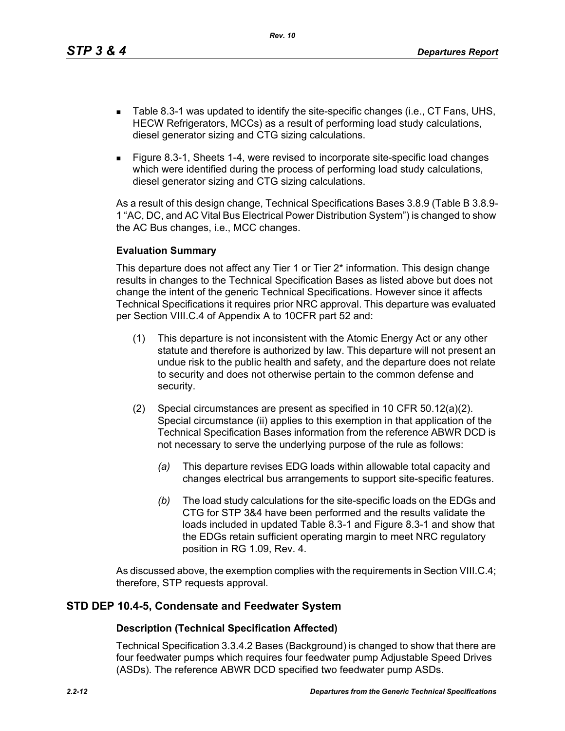*Rev. 10*

- Table 8.3-1 was updated to identify the site-specific changes (i.e., CT Fans, UHS, HECW Refrigerators, MCCs) as a result of performing load study calculations, diesel generator sizing and CTG sizing calculations.
- Figure 8.3-1, Sheets 1-4, were revised to incorporate site-specific load changes which were identified during the process of performing load study calculations, diesel generator sizing and CTG sizing calculations.

As a result of this design change, Technical Specifications Bases 3.8.9 (Table B 3.8.9- 1 "AC, DC, and AC Vital Bus Electrical Power Distribution System") is changed to show the AC Bus changes, i.e., MCC changes.

## **Evaluation Summary**

This departure does not affect any Tier 1 or Tier 2\* information. This design change results in changes to the Technical Specification Bases as listed above but does not change the intent of the generic Technical Specifications. However since it affects Technical Specifications it requires prior NRC approval. This departure was evaluated per Section VIII.C.4 of Appendix A to 10CFR part 52 and:

- (1) This departure is not inconsistent with the Atomic Energy Act or any other statute and therefore is authorized by law. This departure will not present an undue risk to the public health and safety, and the departure does not relate to security and does not otherwise pertain to the common defense and security.
- (2) Special circumstances are present as specified in 10 CFR 50.12(a)(2). Special circumstance (ii) applies to this exemption in that application of the Technical Specification Bases information from the reference ABWR DCD is not necessary to serve the underlying purpose of the rule as follows:
	- *(a)* This departure revises EDG loads within allowable total capacity and changes electrical bus arrangements to support site-specific features.
	- *(b)* The load study calculations for the site-specific loads on the EDGs and CTG for STP 3&4 have been performed and the results validate the loads included in updated Table 8.3-1 and Figure 8.3-1 and show that the EDGs retain sufficient operating margin to meet NRC regulatory position in RG 1.09, Rev. 4.

As discussed above, the exemption complies with the requirements in Section VIII.C.4; therefore, STP requests approval.

# **STD DEP 10.4-5, Condensate and Feedwater System**

## **Description (Technical Specification Affected)**

Technical Specification 3.3.4.2 Bases (Background) is changed to show that there are four feedwater pumps which requires four feedwater pump Adjustable Speed Drives (ASDs). The reference ABWR DCD specified two feedwater pump ASDs.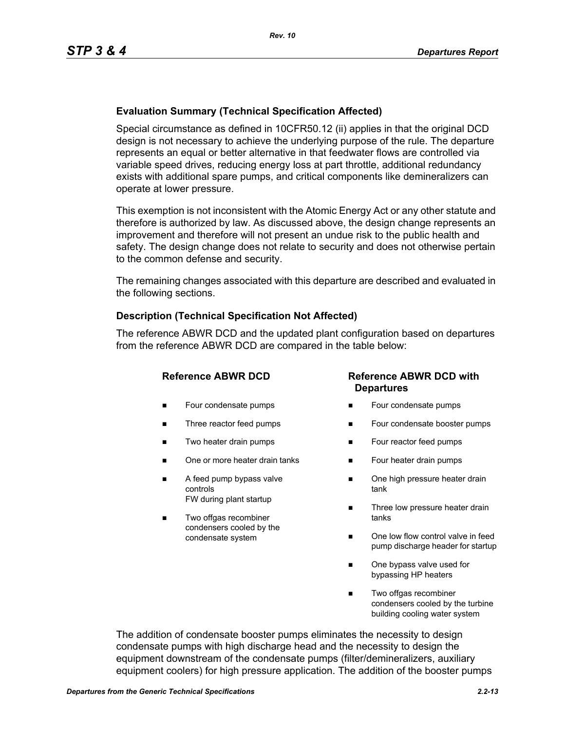## **Evaluation Summary (Technical Specification Affected)**

Special circumstance as defined in 10CFR50.12 (ii) applies in that the original DCD design is not necessary to achieve the underlying purpose of the rule. The departure represents an equal or better alternative in that feedwater flows are controlled via variable speed drives, reducing energy loss at part throttle, additional redundancy exists with additional spare pumps, and critical components like demineralizers can operate at lower pressure.

This exemption is not inconsistent with the Atomic Energy Act or any other statute and therefore is authorized by law. As discussed above, the design change represents an improvement and therefore will not present an undue risk to the public health and safety. The design change does not relate to security and does not otherwise pertain to the common defense and security.

The remaining changes associated with this departure are described and evaluated in the following sections.

#### **Description (Technical Specification Not Affected)**

The reference ABWR DCD and the updated plant configuration based on departures from the reference ABWR DCD are compared in the table below:

- **Four condensate pumps**
- Three reactor feed pumps
- Two heater drain pumps
- One or more heater drain tanks
- A feed pump bypass valve controls FW during plant startup
- Two offgas recombiner condensers cooled by the condensate system

## **Reference ABWR DCD Reference ABWR DCD with Departures**

- Four condensate pumps
- Four condensate booster pumps
- **Four reactor feed pumps**
- Four heater drain pumps
- One high pressure heater drain tank
- Three low pressure heater drain tanks
- One low flow control valve in feed pump discharge header for startup
- One bypass valve used for bypassing HP heaters
- Two offgas recombiner condensers cooled by the turbine building cooling water system

The addition of condensate booster pumps eliminates the necessity to design condensate pumps with high discharge head and the necessity to design the equipment downstream of the condensate pumps (filter/demineralizers, auxiliary equipment coolers) for high pressure application. The addition of the booster pumps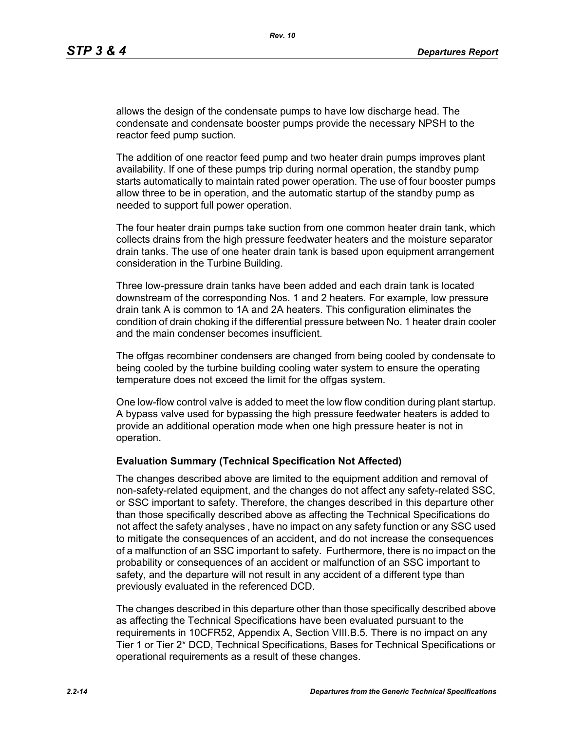allows the design of the condensate pumps to have low discharge head. The condensate and condensate booster pumps provide the necessary NPSH to the reactor feed pump suction.

The addition of one reactor feed pump and two heater drain pumps improves plant availability. If one of these pumps trip during normal operation, the standby pump starts automatically to maintain rated power operation. The use of four booster pumps allow three to be in operation, and the automatic startup of the standby pump as needed to support full power operation.

The four heater drain pumps take suction from one common heater drain tank, which collects drains from the high pressure feedwater heaters and the moisture separator drain tanks. The use of one heater drain tank is based upon equipment arrangement consideration in the Turbine Building.

Three low-pressure drain tanks have been added and each drain tank is located downstream of the corresponding Nos. 1 and 2 heaters. For example, low pressure drain tank A is common to 1A and 2A heaters. This configuration eliminates the condition of drain choking if the differential pressure between No. 1 heater drain cooler and the main condenser becomes insufficient.

The offgas recombiner condensers are changed from being cooled by condensate to being cooled by the turbine building cooling water system to ensure the operating temperature does not exceed the limit for the offgas system.

One low-flow control valve is added to meet the low flow condition during plant startup. A bypass valve used for bypassing the high pressure feedwater heaters is added to provide an additional operation mode when one high pressure heater is not in operation.

#### **Evaluation Summary (Technical Specification Not Affected)**

The changes described above are limited to the equipment addition and removal of non-safety-related equipment, and the changes do not affect any safety-related SSC, or SSC important to safety. Therefore, the changes described in this departure other than those specifically described above as affecting the Technical Specifications do not affect the safety analyses , have no impact on any safety function or any SSC used to mitigate the consequences of an accident, and do not increase the consequences of a malfunction of an SSC important to safety. Furthermore, there is no impact on the probability or consequences of an accident or malfunction of an SSC important to safety, and the departure will not result in any accident of a different type than previously evaluated in the referenced DCD.

The changes described in this departure other than those specifically described above as affecting the Technical Specifications have been evaluated pursuant to the requirements in 10CFR52, Appendix A, Section VIII.B.5. There is no impact on any Tier 1 or Tier 2\* DCD, Technical Specifications, Bases for Technical Specifications or operational requirements as a result of these changes.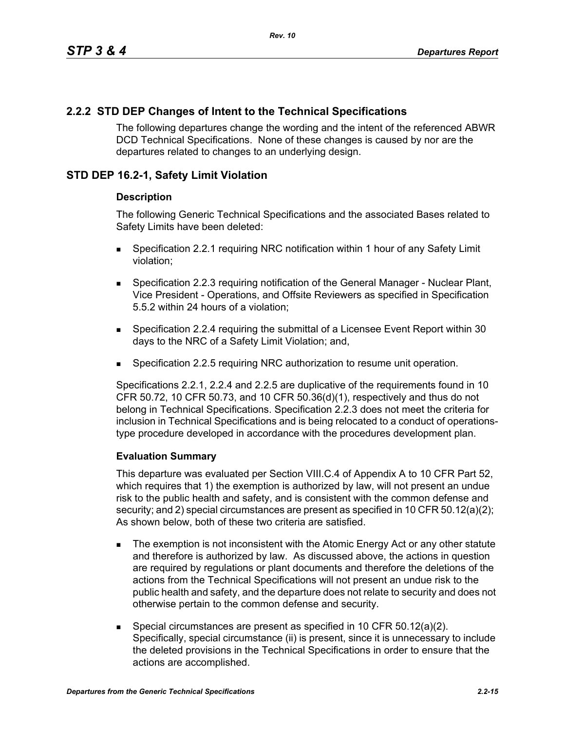# **2.2.2 STD DEP Changes of Intent to the Technical Specifications**

The following departures change the wording and the intent of the referenced ABWR DCD Technical Specifications. None of these changes is caused by nor are the departures related to changes to an underlying design.

# **STD DEP 16.2-1, Safety Limit Violation**

## **Description**

The following Generic Technical Specifications and the associated Bases related to Safety Limits have been deleted:

- Specification 2.2.1 requiring NRC notification within 1 hour of any Safety Limit violation;
- **Specification 2.2.3 requiring notification of the General Manager Nuclear Plant,** Vice President - Operations, and Offsite Reviewers as specified in Specification 5.5.2 within 24 hours of a violation;
- Specification 2.2.4 requiring the submittal of a Licensee Event Report within 30 days to the NRC of a Safety Limit Violation; and,
- Specification 2.2.5 requiring NRC authorization to resume unit operation.

Specifications 2.2.1, 2.2.4 and 2.2.5 are duplicative of the requirements found in 10 CFR 50.72, 10 CFR 50.73, and 10 CFR 50.36(d)(1), respectively and thus do not belong in Technical Specifications. Specification 2.2.3 does not meet the criteria for inclusion in Technical Specifications and is being relocated to a conduct of operationstype procedure developed in accordance with the procedures development plan.

## **Evaluation Summary**

This departure was evaluated per Section VIII.C.4 of Appendix A to 10 CFR Part 52, which requires that 1) the exemption is authorized by law, will not present an undue risk to the public health and safety, and is consistent with the common defense and security; and 2) special circumstances are present as specified in 10 CFR 50.12(a)(2); As shown below, both of these two criteria are satisfied.

- The exemption is not inconsistent with the Atomic Energy Act or any other statute and therefore is authorized by law. As discussed above, the actions in question are required by regulations or plant documents and therefore the deletions of the actions from the Technical Specifications will not present an undue risk to the public health and safety, and the departure does not relate to security and does not otherwise pertain to the common defense and security.
- Special circumstances are present as specified in 10 CFR 50.12(a)(2). Specifically, special circumstance (ii) is present, since it is unnecessary to include the deleted provisions in the Technical Specifications in order to ensure that the actions are accomplished.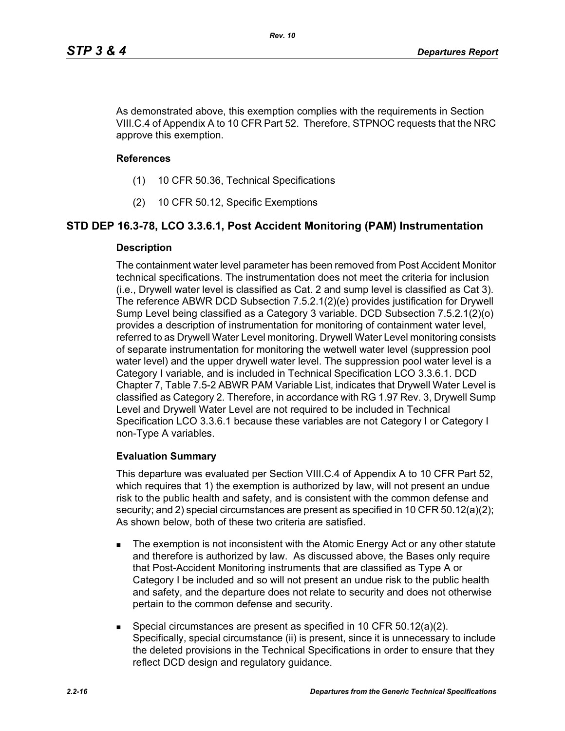As demonstrated above, this exemption complies with the requirements in Section VIII.C.4 of Appendix A to 10 CFR Part 52. Therefore, STPNOC requests that the NRC approve this exemption.

#### **References**

- (1) 10 CFR 50.36, Technical Specifications
- (2) 10 CFR 50.12, Specific Exemptions

## **STD DEP 16.3-78, LCO 3.3.6.1, Post Accident Monitoring (PAM) Instrumentation**

#### **Description**

The containment water level parameter has been removed from Post Accident Monitor technical specifications. The instrumentation does not meet the criteria for inclusion (i.e., Drywell water level is classified as Cat. 2 and sump level is classified as Cat 3). The reference ABWR DCD Subsection 7.5.2.1(2)(e) provides justification for Drywell Sump Level being classified as a Category 3 variable. DCD Subsection 7.5.2.1(2)(o) provides a description of instrumentation for monitoring of containment water level, referred to as Drywell Water Level monitoring. Drywell Water Level monitoring consists of separate instrumentation for monitoring the wetwell water level (suppression pool water level) and the upper drywell water level. The suppression pool water level is a Category I variable, and is included in Technical Specification LCO 3.3.6.1. DCD Chapter 7, Table 7.5-2 ABWR PAM Variable List, indicates that Drywell Water Level is classified as Category 2. Therefore, in accordance with RG 1.97 Rev. 3, Drywell Sump Level and Drywell Water Level are not required to be included in Technical Specification LCO 3.3.6.1 because these variables are not Category I or Category I non-Type A variables.

## **Evaluation Summary**

This departure was evaluated per Section VIII.C.4 of Appendix A to 10 CFR Part 52, which requires that 1) the exemption is authorized by law, will not present an undue risk to the public health and safety, and is consistent with the common defense and security; and 2) special circumstances are present as specified in 10 CFR 50.12(a)(2); As shown below, both of these two criteria are satisfied.

- The exemption is not inconsistent with the Atomic Energy Act or any other statute and therefore is authorized by law. As discussed above, the Bases only require that Post-Accident Monitoring instruments that are classified as Type A or Category I be included and so will not present an undue risk to the public health and safety, and the departure does not relate to security and does not otherwise pertain to the common defense and security.
- Special circumstances are present as specified in 10 CFR 50.12(a)(2). Specifically, special circumstance (ii) is present, since it is unnecessary to include the deleted provisions in the Technical Specifications in order to ensure that they reflect DCD design and regulatory guidance.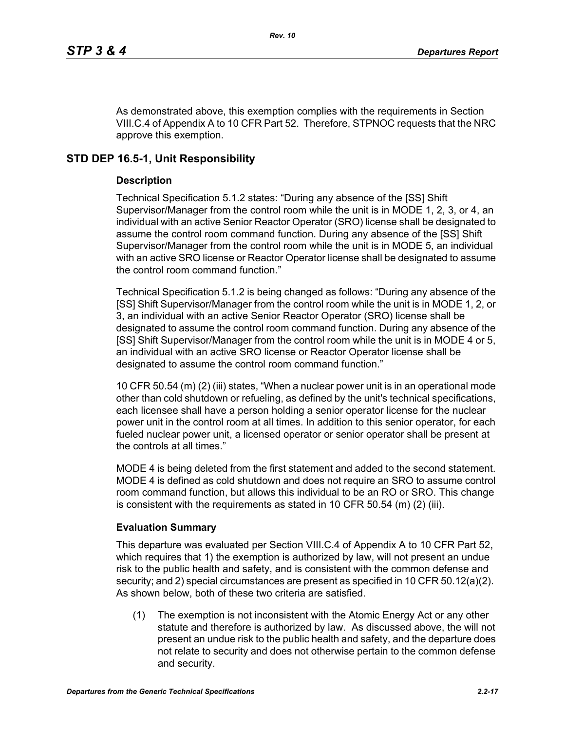As demonstrated above, this exemption complies with the requirements in Section VIII.C.4 of Appendix A to 10 CFR Part 52. Therefore, STPNOC requests that the NRC approve this exemption.

# **STD DEP 16.5-1, Unit Responsibility**

## **Description**

Technical Specification 5.1.2 states: "During any absence of the [SS] Shift Supervisor/Manager from the control room while the unit is in MODE 1, 2, 3, or 4, an individual with an active Senior Reactor Operator (SRO) license shall be designated to assume the control room command function. During any absence of the [SS] Shift Supervisor/Manager from the control room while the unit is in MODE 5, an individual with an active SRO license or Reactor Operator license shall be designated to assume the control room command function."

Technical Specification 5.1.2 is being changed as follows: "During any absence of the [SS] Shift Supervisor/Manager from the control room while the unit is in MODE 1, 2, or 3, an individual with an active Senior Reactor Operator (SRO) license shall be designated to assume the control room command function. During any absence of the [SS] Shift Supervisor/Manager from the control room while the unit is in MODE 4 or 5, an individual with an active SRO license or Reactor Operator license shall be designated to assume the control room command function."

10 CFR 50.54 (m) (2) (iii) states, "When a nuclear power unit is in an operational mode other than cold shutdown or refueling, as defined by the unit's technical specifications, each licensee shall have a person holding a senior operator license for the nuclear power unit in the control room at all times. In addition to this senior operator, for each fueled nuclear power unit, a licensed operator or senior operator shall be present at the controls at all times."

MODE 4 is being deleted from the first statement and added to the second statement. MODE 4 is defined as cold shutdown and does not require an SRO to assume control room command function, but allows this individual to be an RO or SRO. This change is consistent with the requirements as stated in 10 CFR 50.54  $(m)$  (2) (iii).

# **Evaluation Summary**

This departure was evaluated per Section VIII.C.4 of Appendix A to 10 CFR Part 52, which requires that 1) the exemption is authorized by law, will not present an undue risk to the public health and safety, and is consistent with the common defense and security; and 2) special circumstances are present as specified in 10 CFR 50.12(a)(2). As shown below, both of these two criteria are satisfied.

(1) The exemption is not inconsistent with the Atomic Energy Act or any other statute and therefore is authorized by law. As discussed above, the will not present an undue risk to the public health and safety, and the departure does not relate to security and does not otherwise pertain to the common defense and security.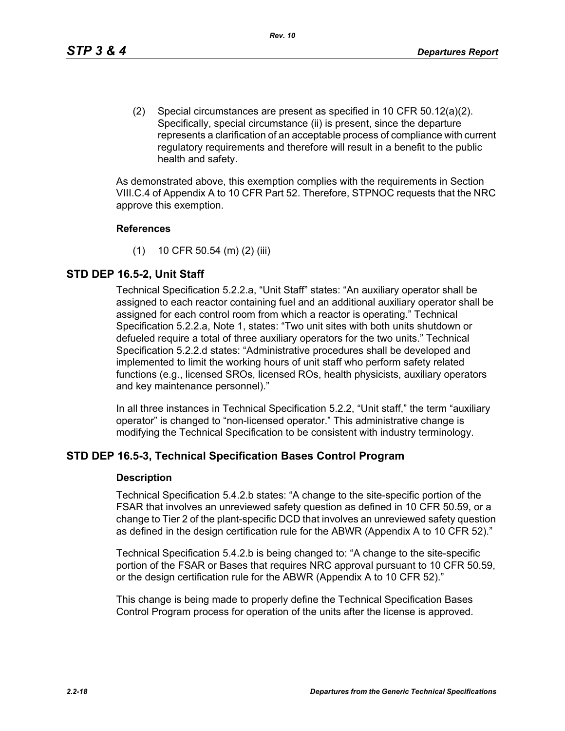(2) Special circumstances are present as specified in 10 CFR 50.12(a)(2). Specifically, special circumstance (ii) is present, since the departure represents a clarification of an acceptable process of compliance with current regulatory requirements and therefore will result in a benefit to the public health and safety.

As demonstrated above, this exemption complies with the requirements in Section VIII.C.4 of Appendix A to 10 CFR Part 52. Therefore, STPNOC requests that the NRC approve this exemption.

#### **References**

(1) 10 CFR 50.54 (m) (2) (iii)

# **STD DEP 16.5-2, Unit Staff**

Technical Specification 5.2.2.a, "Unit Staff" states: "An auxiliary operator shall be assigned to each reactor containing fuel and an additional auxiliary operator shall be assigned for each control room from which a reactor is operating." Technical Specification 5.2.2.a, Note 1, states: "Two unit sites with both units shutdown or defueled require a total of three auxiliary operators for the two units." Technical Specification 5.2.2.d states: "Administrative procedures shall be developed and implemented to limit the working hours of unit staff who perform safety related functions (e.g., licensed SROs, licensed ROs, health physicists, auxiliary operators and key maintenance personnel)."

In all three instances in Technical Specification 5.2.2, "Unit staff," the term "auxiliary operator" is changed to "non-licensed operator." This administrative change is modifying the Technical Specification to be consistent with industry terminology.

# **STD DEP 16.5-3, Technical Specification Bases Control Program**

#### **Description**

Technical Specification 5.4.2.b states: "A change to the site-specific portion of the FSAR that involves an unreviewed safety question as defined in 10 CFR 50.59, or a change to Tier 2 of the plant-specific DCD that involves an unreviewed safety question as defined in the design certification rule for the ABWR (Appendix A to 10 CFR 52)."

Technical Specification 5.4.2.b is being changed to: "A change to the site-specific portion of the FSAR or Bases that requires NRC approval pursuant to 10 CFR 50.59, or the design certification rule for the ABWR (Appendix A to 10 CFR 52)."

This change is being made to properly define the Technical Specification Bases Control Program process for operation of the units after the license is approved.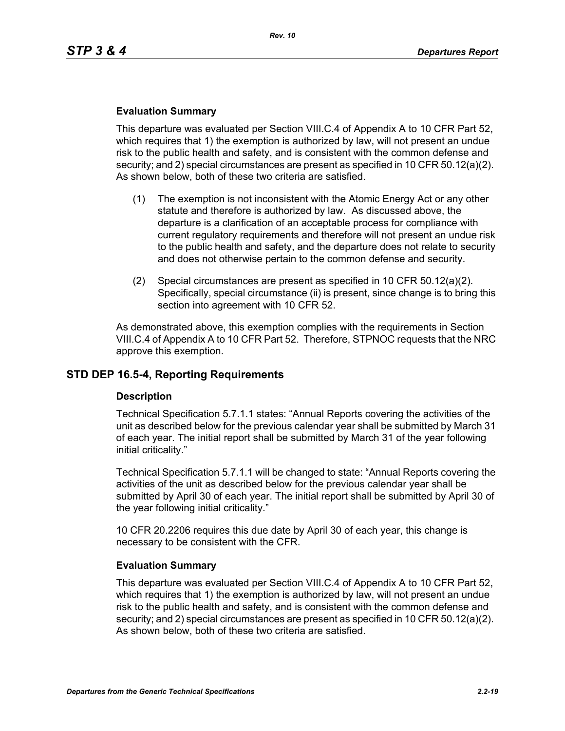#### **Evaluation Summary**

This departure was evaluated per Section VIII.C.4 of Appendix A to 10 CFR Part 52, which requires that 1) the exemption is authorized by law, will not present an undue risk to the public health and safety, and is consistent with the common defense and security; and 2) special circumstances are present as specified in 10 CFR 50.12(a)(2). As shown below, both of these two criteria are satisfied.

- (1) The exemption is not inconsistent with the Atomic Energy Act or any other statute and therefore is authorized by law. As discussed above, the departure is a clarification of an acceptable process for compliance with current regulatory requirements and therefore will not present an undue risk to the public health and safety, and the departure does not relate to security and does not otherwise pertain to the common defense and security.
- (2) Special circumstances are present as specified in 10 CFR 50.12(a)(2). Specifically, special circumstance (ii) is present, since change is to bring this section into agreement with 10 CFR 52.

As demonstrated above, this exemption complies with the requirements in Section VIII.C.4 of Appendix A to 10 CFR Part 52. Therefore, STPNOC requests that the NRC approve this exemption.

## **STD DEP 16.5-4, Reporting Requirements**

#### **Description**

Technical Specification 5.7.1.1 states: "Annual Reports covering the activities of the unit as described below for the previous calendar year shall be submitted by March 31 of each year. The initial report shall be submitted by March 31 of the year following initial criticality."

Technical Specification 5.7.1.1 will be changed to state: "Annual Reports covering the activities of the unit as described below for the previous calendar year shall be submitted by April 30 of each year. The initial report shall be submitted by April 30 of the year following initial criticality."

10 CFR 20.2206 requires this due date by April 30 of each year, this change is necessary to be consistent with the CFR.

#### **Evaluation Summary**

This departure was evaluated per Section VIII.C.4 of Appendix A to 10 CFR Part 52, which requires that 1) the exemption is authorized by law, will not present an undue risk to the public health and safety, and is consistent with the common defense and security; and 2) special circumstances are present as specified in 10 CFR 50.12(a)(2). As shown below, both of these two criteria are satisfied.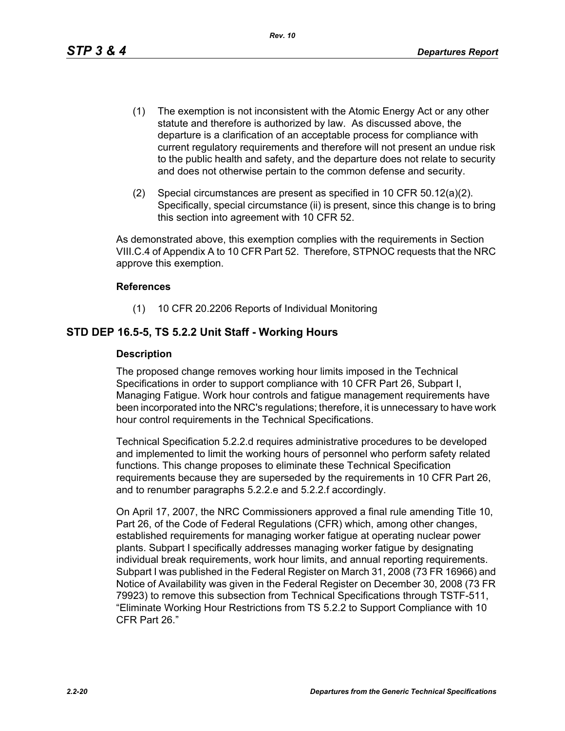- (1) The exemption is not inconsistent with the Atomic Energy Act or any other statute and therefore is authorized by law. As discussed above, the departure is a clarification of an acceptable process for compliance with current regulatory requirements and therefore will not present an undue risk to the public health and safety, and the departure does not relate to security and does not otherwise pertain to the common defense and security.
- (2) Special circumstances are present as specified in 10 CFR 50.12(a)(2). Specifically, special circumstance (ii) is present, since this change is to bring this section into agreement with 10 CFR 52.

As demonstrated above, this exemption complies with the requirements in Section VIII.C.4 of Appendix A to 10 CFR Part 52. Therefore, STPNOC requests that the NRC approve this exemption.

## **References**

(1) 10 CFR 20.2206 Reports of Individual Monitoring

# **STD DEP 16.5-5, TS 5.2.2 Unit Staff - Working Hours**

## **Description**

The proposed change removes working hour limits imposed in the Technical Specifications in order to support compliance with 10 CFR Part 26, Subpart I, Managing Fatigue. Work hour controls and fatigue management requirements have been incorporated into the NRC's regulations; therefore, it is unnecessary to have work hour control requirements in the Technical Specifications.

Technical Specification 5.2.2.d requires administrative procedures to be developed and implemented to limit the working hours of personnel who perform safety related functions. This change proposes to eliminate these Technical Specification requirements because they are superseded by the requirements in 10 CFR Part 26, and to renumber paragraphs 5.2.2.e and 5.2.2.f accordingly.

On April 17, 2007, the NRC Commissioners approved a final rule amending Title 10, Part 26, of the Code of Federal Regulations (CFR) which, among other changes, established requirements for managing worker fatigue at operating nuclear power plants. Subpart I specifically addresses managing worker fatigue by designating individual break requirements, work hour limits, and annual reporting requirements. Subpart I was published in the Federal Register on March 31, 2008 (73 FR 16966) and Notice of Availability was given in the Federal Register on December 30, 2008 (73 FR 79923) to remove this subsection from Technical Specifications through TSTF-511, "Eliminate Working Hour Restrictions from TS 5.2.2 to Support Compliance with 10 CFR Part 26."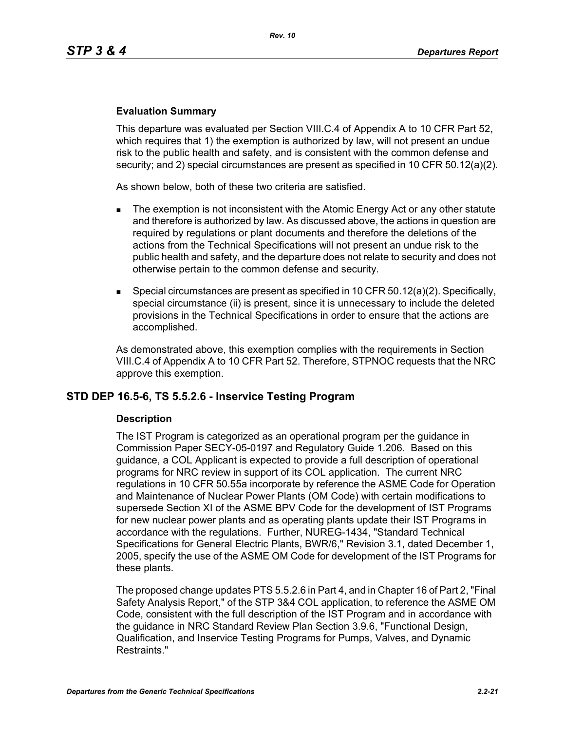#### **Evaluation Summary**

This departure was evaluated per Section VIII.C.4 of Appendix A to 10 CFR Part 52, which requires that 1) the exemption is authorized by law, will not present an undue risk to the public health and safety, and is consistent with the common defense and security; and 2) special circumstances are present as specified in 10 CFR 50.12(a)(2).

As shown below, both of these two criteria are satisfied.

- The exemption is not inconsistent with the Atomic Energy Act or any other statute and therefore is authorized by law. As discussed above, the actions in question are required by regulations or plant documents and therefore the deletions of the actions from the Technical Specifications will not present an undue risk to the public health and safety, and the departure does not relate to security and does not otherwise pertain to the common defense and security.
- **Special circumstances are present as specified in 10 CFR 50.12(a)(2). Specifically,** special circumstance (ii) is present, since it is unnecessary to include the deleted provisions in the Technical Specifications in order to ensure that the actions are accomplished.

As demonstrated above, this exemption complies with the requirements in Section VIII.C.4 of Appendix A to 10 CFR Part 52. Therefore, STPNOC requests that the NRC approve this exemption.

## **STD DEP 16.5-6, TS 5.5.2.6 - Inservice Testing Program**

#### **Description**

The IST Program is categorized as an operational program per the guidance in Commission Paper SECY-05-0197 and Regulatory Guide 1.206. Based on this guidance, a COL Applicant is expected to provide a full description of operational programs for NRC review in support of its COL application. The current NRC regulations in 10 CFR 50.55a incorporate by reference the ASME Code for Operation and Maintenance of Nuclear Power Plants (OM Code) with certain modifications to supersede Section XI of the ASME BPV Code for the development of IST Programs for new nuclear power plants and as operating plants update their IST Programs in accordance with the regulations. Further, NUREG-1434, "Standard Technical Specifications for General Electric Plants, BWR/6," Revision 3.1, dated December 1, 2005, specify the use of the ASME OM Code for development of the IST Programs for these plants.

The proposed change updates PTS 5.5.2.6 in Part 4, and in Chapter 16 of Part 2, "Final Safety Analysis Report," of the STP 3&4 COL application, to reference the ASME OM Code, consistent with the full description of the IST Program and in accordance with the guidance in NRC Standard Review Plan Section 3.9.6, "Functional Design, Qualification, and Inservice Testing Programs for Pumps, Valves, and Dynamic Restraints."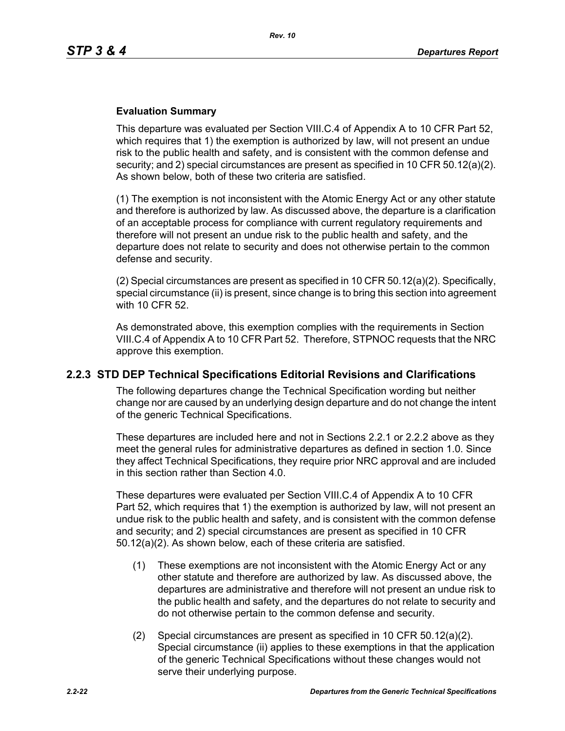#### **Evaluation Summary**

This departure was evaluated per Section VIII.C.4 of Appendix A to 10 CFR Part 52, which requires that 1) the exemption is authorized by law, will not present an undue risk to the public health and safety, and is consistent with the common defense and security; and 2) special circumstances are present as specified in 10 CFR 50.12(a)(2). As shown below, both of these two criteria are satisfied.

(1) The exemption is not inconsistent with the Atomic Energy Act or any other statute and therefore is authorized by law. As discussed above, the departure is a clarification of an acceptable process for compliance with current regulatory requirements and therefore will not present an undue risk to the public health and safety, and the departure does not relate to security and does not otherwise pertain to the common defense and security.

(2) Special circumstances are present as specified in 10 CFR  $50.12(a)(2)$ . Specifically, special circumstance (ii) is present, since change is to bring this section into agreement with 10 CFR 52.

As demonstrated above, this exemption complies with the requirements in Section VIII.C.4 of Appendix A to 10 CFR Part 52. Therefore, STPNOC requests that the NRC approve this exemption.

## **2.2.3 STD DEP Technical Specifications Editorial Revisions and Clarifications**

The following departures change the Technical Specification wording but neither change nor are caused by an underlying design departure and do not change the intent of the generic Technical Specifications.

These departures are included here and not in Sections 2.2.1 or 2.2.2 above as they meet the general rules for administrative departures as defined in section 1.0. Since they affect Technical Specifications, they require prior NRC approval and are included in this section rather than Section 4.0.

These departures were evaluated per Section VIII.C.4 of Appendix A to 10 CFR Part 52, which requires that 1) the exemption is authorized by law, will not present an undue risk to the public health and safety, and is consistent with the common defense and security; and 2) special circumstances are present as specified in 10 CFR 50.12(a)(2). As shown below, each of these criteria are satisfied.

- (1) These exemptions are not inconsistent with the Atomic Energy Act or any other statute and therefore are authorized by law. As discussed above, the departures are administrative and therefore will not present an undue risk to the public health and safety, and the departures do not relate to security and do not otherwise pertain to the common defense and security.
- (2) Special circumstances are present as specified in 10 CFR 50.12(a)(2). Special circumstance (ii) applies to these exemptions in that the application of the generic Technical Specifications without these changes would not serve their underlying purpose.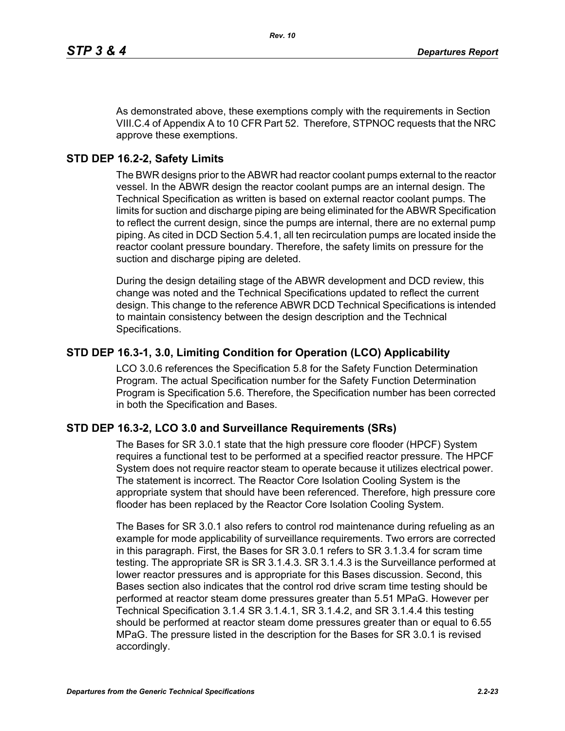As demonstrated above, these exemptions comply with the requirements in Section VIII.C.4 of Appendix A to 10 CFR Part 52. Therefore, STPNOC requests that the NRC approve these exemptions.

## **STD DEP 16.2-2, Safety Limits**

The BWR designs prior to the ABWR had reactor coolant pumps external to the reactor vessel. In the ABWR design the reactor coolant pumps are an internal design. The Technical Specification as written is based on external reactor coolant pumps. The limits for suction and discharge piping are being eliminated for the ABWR Specification to reflect the current design, since the pumps are internal, there are no external pump piping. As cited in DCD Section 5.4.1, all ten recirculation pumps are located inside the reactor coolant pressure boundary. Therefore, the safety limits on pressure for the suction and discharge piping are deleted.

During the design detailing stage of the ABWR development and DCD review, this change was noted and the Technical Specifications updated to reflect the current design. This change to the reference ABWR DCD Technical Specifications is intended to maintain consistency between the design description and the Technical Specifications.

## **STD DEP 16.3-1, 3.0, Limiting Condition for Operation (LCO) Applicability**

LCO 3.0.6 references the Specification 5.8 for the Safety Function Determination Program. The actual Specification number for the Safety Function Determination Program is Specification 5.6. Therefore, the Specification number has been corrected in both the Specification and Bases.

## **STD DEP 16.3-2, LCO 3.0 and Surveillance Requirements (SRs)**

The Bases for SR 3.0.1 state that the high pressure core flooder (HPCF) System requires a functional test to be performed at a specified reactor pressure. The HPCF System does not require reactor steam to operate because it utilizes electrical power. The statement is incorrect. The Reactor Core Isolation Cooling System is the appropriate system that should have been referenced. Therefore, high pressure core flooder has been replaced by the Reactor Core Isolation Cooling System.

The Bases for SR 3.0.1 also refers to control rod maintenance during refueling as an example for mode applicability of surveillance requirements. Two errors are corrected in this paragraph. First, the Bases for SR 3.0.1 refers to SR 3.1.3.4 for scram time testing. The appropriate SR is SR 3.1.4.3. SR 3.1.4.3 is the Surveillance performed at lower reactor pressures and is appropriate for this Bases discussion. Second, this Bases section also indicates that the control rod drive scram time testing should be performed at reactor steam dome pressures greater than 5.51 MPaG. However per Technical Specification 3.1.4 SR 3.1.4.1, SR 3.1.4.2, and SR 3.1.4.4 this testing should be performed at reactor steam dome pressures greater than or equal to 6.55 MPaG. The pressure listed in the description for the Bases for SR 3.0.1 is revised accordingly.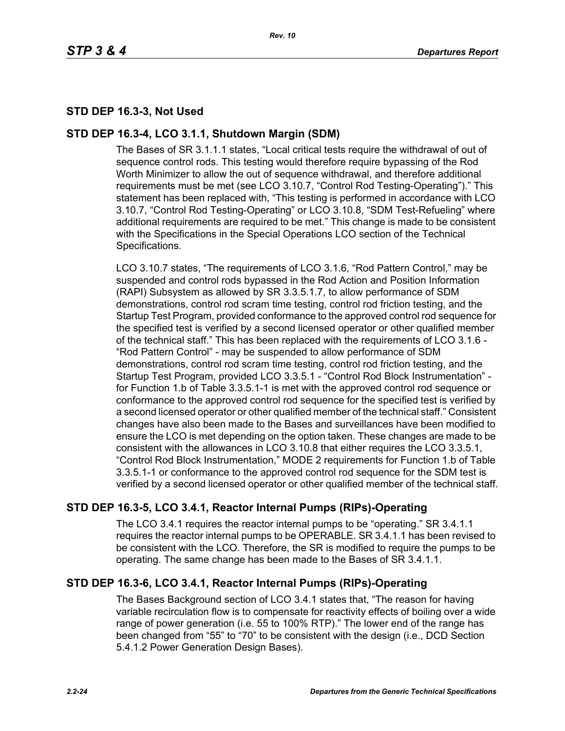# **STD DEP 16.3-3, Not Used**

## **STD DEP 16.3-4, LCO 3.1.1, Shutdown Margin (SDM)**

The Bases of SR 3.1.1.1 states, "Local critical tests require the withdrawal of out of sequence control rods. This testing would therefore require bypassing of the Rod Worth Minimizer to allow the out of sequence withdrawal, and therefore additional requirements must be met (see LCO 3.10.7, "Control Rod Testing-Operating")." This statement has been replaced with, "This testing is performed in accordance with LCO 3.10.7, "Control Rod Testing-Operating" or LCO 3.10.8, "SDM Test-Refueling" where additional requirements are required to be met." This change is made to be consistent with the Specifications in the Special Operations LCO section of the Technical Specifications.

LCO 3.10.7 states, "The requirements of LCO 3.1.6, "Rod Pattern Control," may be suspended and control rods bypassed in the Rod Action and Position Information (RAPI) Subsystem as allowed by SR 3.3.5.1.7, to allow performance of SDM demonstrations, control rod scram time testing, control rod friction testing, and the Startup Test Program, provided conformance to the approved control rod sequence for the specified test is verified by a second licensed operator or other qualified member of the technical staff." This has been replaced with the requirements of LCO 3.1.6 - "Rod Pattern Control" - may be suspended to allow performance of SDM demonstrations, control rod scram time testing, control rod friction testing, and the Startup Test Program, provided LCO 3.3.5.1 - "Control Rod Block Instrumentation" for Function 1.b of Table 3.3.5.1-1 is met with the approved control rod sequence or conformance to the approved control rod sequence for the specified test is verified by a second licensed operator or other qualified member of the technical staff." Consistent changes have also been made to the Bases and surveillances have been modified to ensure the LCO is met depending on the option taken. These changes are made to be consistent with the allowances in LCO 3.10.8 that either requires the LCO 3.3.5.1, "Control Rod Block Instrumentation," MODE 2 requirements for Function 1.b of Table 3.3.5.1-1 or conformance to the approved control rod sequence for the SDM test is verified by a second licensed operator or other qualified member of the technical staff.

# **STD DEP 16.3-5, LCO 3.4.1, Reactor Internal Pumps (RIPs)-Operating**

The LCO 3.4.1 requires the reactor internal pumps to be "operating." SR 3.4.1.1 requires the reactor internal pumps to be OPERABLE. SR 3.4.1.1 has been revised to be consistent with the LCO. Therefore, the SR is modified to require the pumps to be operating. The same change has been made to the Bases of SR 3.4.1.1.

# **STD DEP 16.3-6, LCO 3.4.1, Reactor Internal Pumps (RIPs)-Operating**

The Bases Background section of LCO 3.4.1 states that, "The reason for having variable recirculation flow is to compensate for reactivity effects of boiling over a wide range of power generation (i.e. 55 to 100% RTP)." The lower end of the range has been changed from "55" to "70" to be consistent with the design (i.e., DCD Section 5.4.1.2 Power Generation Design Bases).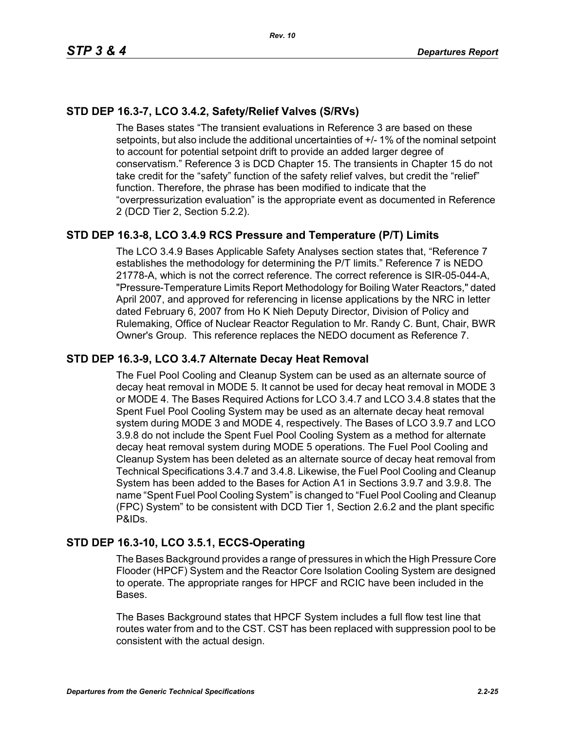# **STD DEP 16.3-7, LCO 3.4.2, Safety/Relief Valves (S/RVs)**

The Bases states "The transient evaluations in Reference 3 are based on these setpoints, but also include the additional uncertainties of +/- 1% of the nominal setpoint to account for potential setpoint drift to provide an added larger degree of conservatism." Reference 3 is DCD Chapter 15. The transients in Chapter 15 do not take credit for the "safety" function of the safety relief valves, but credit the "relief" function. Therefore, the phrase has been modified to indicate that the "overpressurization evaluation" is the appropriate event as documented in Reference 2 (DCD Tier 2, Section 5.2.2).

# **STD DEP 16.3-8, LCO 3.4.9 RCS Pressure and Temperature (P/T) Limits**

The LCO 3.4.9 Bases Applicable Safety Analyses section states that, "Reference 7 establishes the methodology for determining the P/T limits." Reference 7 is NEDO 21778-A, which is not the correct reference. The correct reference is SIR-05-044-A, "Pressure-Temperature Limits Report Methodology for Boiling Water Reactors," dated April 2007, and approved for referencing in license applications by the NRC in letter dated February 6, 2007 from Ho K Nieh Deputy Director, Division of Policy and Rulemaking, Office of Nuclear Reactor Regulation to Mr. Randy C. Bunt, Chair, BWR Owner's Group. This reference replaces the NEDO document as Reference 7.

## **STD DEP 16.3-9, LCO 3.4.7 Alternate Decay Heat Removal**

The Fuel Pool Cooling and Cleanup System can be used as an alternate source of decay heat removal in MODE 5. It cannot be used for decay heat removal in MODE 3 or MODE 4. The Bases Required Actions for LCO 3.4.7 and LCO 3.4.8 states that the Spent Fuel Pool Cooling System may be used as an alternate decay heat removal system during MODE 3 and MODE 4, respectively. The Bases of LCO 3.9.7 and LCO 3.9.8 do not include the Spent Fuel Pool Cooling System as a method for alternate decay heat removal system during MODE 5 operations. The Fuel Pool Cooling and Cleanup System has been deleted as an alternate source of decay heat removal from Technical Specifications 3.4.7 and 3.4.8. Likewise, the Fuel Pool Cooling and Cleanup System has been added to the Bases for Action A1 in Sections 3.9.7 and 3.9.8. The name "Spent Fuel Pool Cooling System" is changed to "Fuel Pool Cooling and Cleanup (FPC) System" to be consistent with DCD Tier 1, Section 2.6.2 and the plant specific P&IDs.

# **STD DEP 16.3-10, LCO 3.5.1, ECCS-Operating**

The Bases Background provides a range of pressures in which the High Pressure Core Flooder (HPCF) System and the Reactor Core Isolation Cooling System are designed to operate. The appropriate ranges for HPCF and RCIC have been included in the Bases.

The Bases Background states that HPCF System includes a full flow test line that routes water from and to the CST. CST has been replaced with suppression pool to be consistent with the actual design.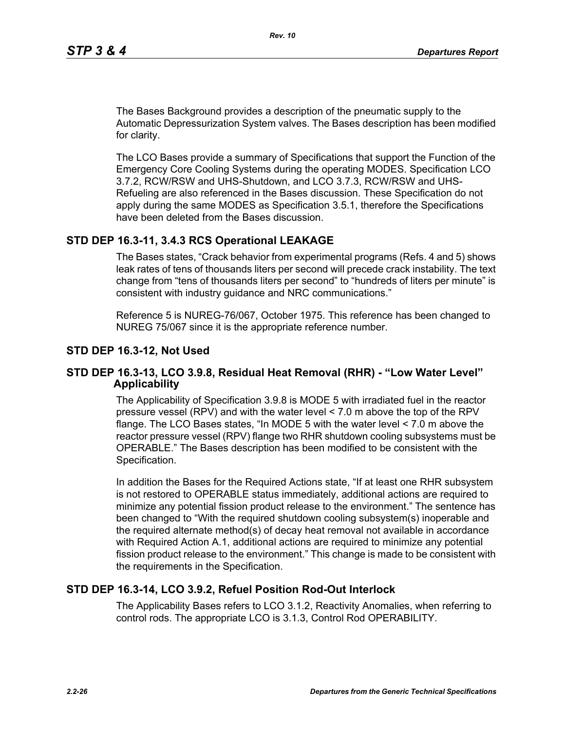The Bases Background provides a description of the pneumatic supply to the Automatic Depressurization System valves. The Bases description has been modified for clarity.

The LCO Bases provide a summary of Specifications that support the Function of the Emergency Core Cooling Systems during the operating MODES. Specification LCO 3.7.2, RCW/RSW and UHS-Shutdown, and LCO 3.7.3, RCW/RSW and UHS-Refueling are also referenced in the Bases discussion. These Specification do not apply during the same MODES as Specification 3.5.1, therefore the Specifications have been deleted from the Bases discussion.

## **STD DEP 16.3-11, 3.4.3 RCS Operational LEAKAGE**

The Bases states, "Crack behavior from experimental programs (Refs. 4 and 5) shows leak rates of tens of thousands liters per second will precede crack instability. The text change from "tens of thousands liters per second" to "hundreds of liters per minute" is consistent with industry guidance and NRC communications."

Reference 5 is NUREG-76/067, October 1975. This reference has been changed to NUREG 75/067 since it is the appropriate reference number.

#### **STD DEP 16.3-12, Not Used**

#### **STD DEP 16.3-13, LCO 3.9.8, Residual Heat Removal (RHR) - "Low Water Level" Applicability**

The Applicability of Specification 3.9.8 is MODE 5 with irradiated fuel in the reactor pressure vessel (RPV) and with the water level < 7.0 m above the top of the RPV flange. The LCO Bases states, "In MODE 5 with the water level < 7.0 m above the reactor pressure vessel (RPV) flange two RHR shutdown cooling subsystems must be OPERABLE." The Bases description has been modified to be consistent with the Specification.

In addition the Bases for the Required Actions state, "If at least one RHR subsystem is not restored to OPERABLE status immediately, additional actions are required to minimize any potential fission product release to the environment." The sentence has been changed to "With the required shutdown cooling subsystem(s) inoperable and the required alternate method(s) of decay heat removal not available in accordance with Required Action A.1, additional actions are required to minimize any potential fission product release to the environment." This change is made to be consistent with the requirements in the Specification.

## **STD DEP 16.3-14, LCO 3.9.2, Refuel Position Rod-Out Interlock**

The Applicability Bases refers to LCO 3.1.2, Reactivity Anomalies, when referring to control rods. The appropriate LCO is 3.1.3, Control Rod OPERABILITY.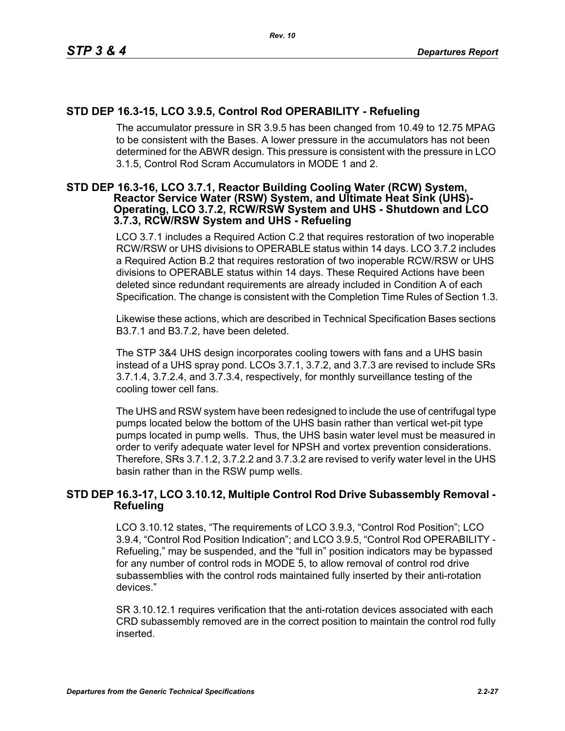# **STD DEP 16.3-15, LCO 3.9.5, Control Rod OPERABILITY - Refueling**

The accumulator pressure in SR 3.9.5 has been changed from 10.49 to 12.75 MPAG to be consistent with the Bases. A lower pressure in the accumulators has not been determined for the ABWR design. This pressure is consistent with the pressure in LCO 3.1.5, Control Rod Scram Accumulators in MODE 1 and 2.

#### **STD DEP 16.3-16, LCO 3.7.1, Reactor Building Cooling Water (RCW) System, Reactor Service Water (RSW) System, and Ultimate Heat Sink (UHS)- Operating, LCO 3.7.2, RCW/RSW System and UHS - Shutdown and LCO 3.7.3, RCW/RSW System and UHS - Refueling**

LCO 3.7.1 includes a Required Action C.2 that requires restoration of two inoperable RCW/RSW or UHS divisions to OPERABLE status within 14 days. LCO 3.7.2 includes a Required Action B.2 that requires restoration of two inoperable RCW/RSW or UHS divisions to OPERABLE status within 14 days. These Required Actions have been deleted since redundant requirements are already included in Condition A of each Specification. The change is consistent with the Completion Time Rules of Section 1.3.

Likewise these actions, which are described in Technical Specification Bases sections B3.7.1 and B3.7.2, have been deleted.

The STP 3&4 UHS design incorporates cooling towers with fans and a UHS basin instead of a UHS spray pond. LCOs 3.7.1, 3.7.2, and 3.7.3 are revised to include SRs 3.7.1.4, 3.7.2.4, and 3.7.3.4, respectively, for monthly surveillance testing of the cooling tower cell fans.

The UHS and RSW system have been redesigned to include the use of centrifugal type pumps located below the bottom of the UHS basin rather than vertical wet-pit type pumps located in pump wells. Thus, the UHS basin water level must be measured in order to verify adequate water level for NPSH and vortex prevention considerations. Therefore, SRs 3.7.1.2, 3.7.2.2 and 3.7.3.2 are revised to verify water level in the UHS basin rather than in the RSW pump wells.

## **STD DEP 16.3-17, LCO 3.10.12, Multiple Control Rod Drive Subassembly Removal - Refueling**

LCO 3.10.12 states, "The requirements of LCO 3.9.3, "Control Rod Position"; LCO 3.9.4, "Control Rod Position Indication"; and LCO 3.9.5, "Control Rod OPERABILITY - Refueling," may be suspended, and the "full in" position indicators may be bypassed for any number of control rods in MODE 5, to allow removal of control rod drive subassemblies with the control rods maintained fully inserted by their anti-rotation devices."

SR 3.10.12.1 requires verification that the anti-rotation devices associated with each CRD subassembly removed are in the correct position to maintain the control rod fully inserted.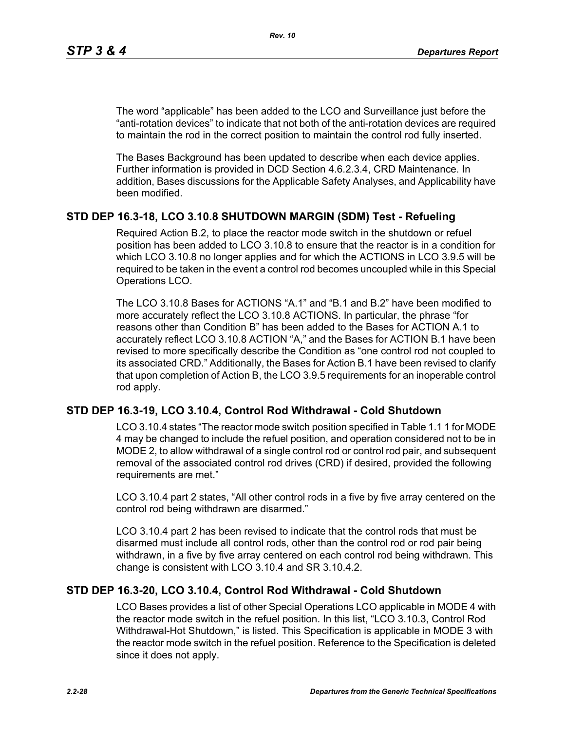The word "applicable" has been added to the LCO and Surveillance just before the "anti-rotation devices" to indicate that not both of the anti-rotation devices are required to maintain the rod in the correct position to maintain the control rod fully inserted.

The Bases Background has been updated to describe when each device applies. Further information is provided in DCD Section 4.6.2.3.4, CRD Maintenance. In addition, Bases discussions for the Applicable Safety Analyses, and Applicability have been modified.

## **STD DEP 16.3-18, LCO 3.10.8 SHUTDOWN MARGIN (SDM) Test - Refueling**

Required Action B.2, to place the reactor mode switch in the shutdown or refuel position has been added to LCO 3.10.8 to ensure that the reactor is in a condition for which LCO 3.10.8 no longer applies and for which the ACTIONS in LCO 3.9.5 will be required to be taken in the event a control rod becomes uncoupled while in this Special Operations LCO.

The LCO 3.10.8 Bases for ACTIONS "A.1" and "B.1 and B.2" have been modified to more accurately reflect the LCO 3.10.8 ACTIONS. In particular, the phrase "for reasons other than Condition B" has been added to the Bases for ACTION A.1 to accurately reflect LCO 3.10.8 ACTION "A," and the Bases for ACTION B.1 have been revised to more specifically describe the Condition as "one control rod not coupled to its associated CRD." Additionally, the Bases for Action B.1 have been revised to clarify that upon completion of Action B, the LCO 3.9.5 requirements for an inoperable control rod apply.

## **STD DEP 16.3-19, LCO 3.10.4, Control Rod Withdrawal - Cold Shutdown**

LCO 3.10.4 states "The reactor mode switch position specified in Table 1.1 1 for MODE 4 may be changed to include the refuel position, and operation considered not to be in MODE 2, to allow withdrawal of a single control rod or control rod pair, and subsequent removal of the associated control rod drives (CRD) if desired, provided the following requirements are met."

LCO 3.10.4 part 2 states, "All other control rods in a five by five array centered on the control rod being withdrawn are disarmed."

LCO 3.10.4 part 2 has been revised to indicate that the control rods that must be disarmed must include all control rods, other than the control rod or rod pair being withdrawn, in a five by five array centered on each control rod being withdrawn. This change is consistent with LCO 3.10.4 and SR 3.10.4.2.

## **STD DEP 16.3-20, LCO 3.10.4, Control Rod Withdrawal - Cold Shutdown**

LCO Bases provides a list of other Special Operations LCO applicable in MODE 4 with the reactor mode switch in the refuel position. In this list, "LCO 3.10.3, Control Rod Withdrawal-Hot Shutdown," is listed. This Specification is applicable in MODE 3 with the reactor mode switch in the refuel position. Reference to the Specification is deleted since it does not apply.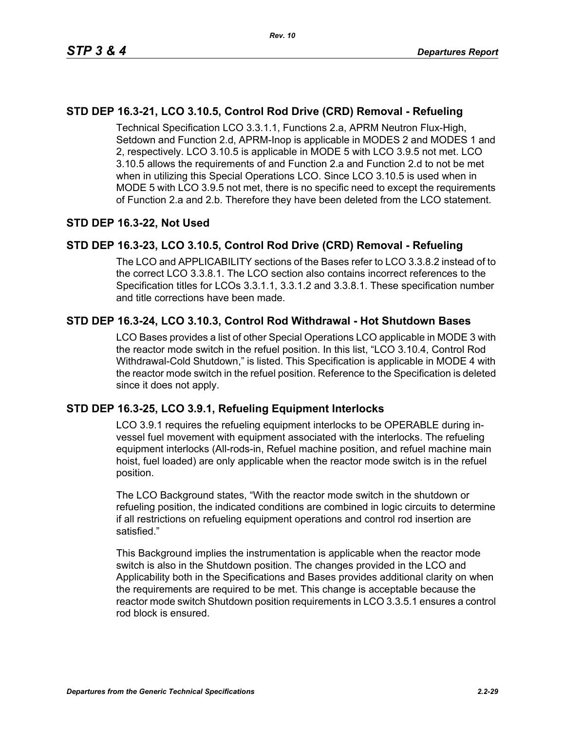# **STD DEP 16.3-21, LCO 3.10.5, Control Rod Drive (CRD) Removal - Refueling**

Technical Specification LCO 3.3.1.1, Functions 2.a, APRM Neutron Flux-High, Setdown and Function 2.d, APRM-Inop is applicable in MODES 2 and MODES 1 and 2, respectively. LCO 3.10.5 is applicable in MODE 5 with LCO 3.9.5 not met. LCO 3.10.5 allows the requirements of and Function 2.a and Function 2.d to not be met when in utilizing this Special Operations LCO. Since LCO 3.10.5 is used when in MODE 5 with LCO 3.9.5 not met, there is no specific need to except the requirements of Function 2.a and 2.b. Therefore they have been deleted from the LCO statement.

# **STD DEP 16.3-22, Not Used**

# **STD DEP 16.3-23, LCO 3.10.5, Control Rod Drive (CRD) Removal - Refueling**

The LCO and APPLICABILITY sections of the Bases refer to LCO 3.3.8.2 instead of to the correct LCO 3.3.8.1. The LCO section also contains incorrect references to the Specification titles for LCOs 3.3.1.1, 3.3.1.2 and 3.3.8.1. These specification number and title corrections have been made.

# **STD DEP 16.3-24, LCO 3.10.3, Control Rod Withdrawal - Hot Shutdown Bases**

LCO Bases provides a list of other Special Operations LCO applicable in MODE 3 with the reactor mode switch in the refuel position. In this list, "LCO 3.10.4, Control Rod Withdrawal-Cold Shutdown," is listed. This Specification is applicable in MODE 4 with the reactor mode switch in the refuel position. Reference to the Specification is deleted since it does not apply.

# **STD DEP 16.3-25, LCO 3.9.1, Refueling Equipment Interlocks**

LCO 3.9.1 requires the refueling equipment interlocks to be OPERABLE during invessel fuel movement with equipment associated with the interlocks. The refueling equipment interlocks (All-rods-in, Refuel machine position, and refuel machine main hoist, fuel loaded) are only applicable when the reactor mode switch is in the refuel position.

The LCO Background states, "With the reactor mode switch in the shutdown or refueling position, the indicated conditions are combined in logic circuits to determine if all restrictions on refueling equipment operations and control rod insertion are satisfied."

This Background implies the instrumentation is applicable when the reactor mode switch is also in the Shutdown position. The changes provided in the LCO and Applicability both in the Specifications and Bases provides additional clarity on when the requirements are required to be met. This change is acceptable because the reactor mode switch Shutdown position requirements in LCO 3.3.5.1 ensures a control rod block is ensured.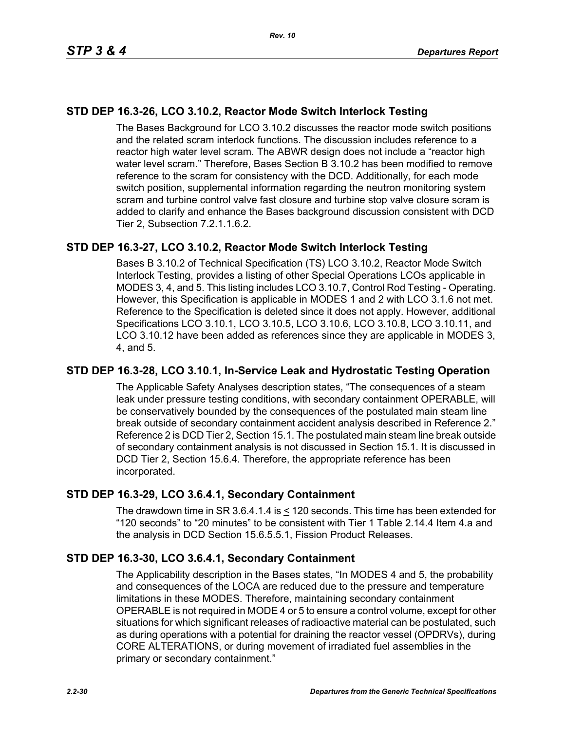# **STD DEP 16.3-26, LCO 3.10.2, Reactor Mode Switch Interlock Testing**

The Bases Background for LCO 3.10.2 discusses the reactor mode switch positions and the related scram interlock functions. The discussion includes reference to a reactor high water level scram. The ABWR design does not include a "reactor high water level scram." Therefore, Bases Section B 3.10.2 has been modified to remove reference to the scram for consistency with the DCD. Additionally, for each mode switch position, supplemental information regarding the neutron monitoring system scram and turbine control valve fast closure and turbine stop valve closure scram is added to clarify and enhance the Bases background discussion consistent with DCD Tier 2, Subsection 7.2.1.1.6.2.

# **STD DEP 16.3-27, LCO 3.10.2, Reactor Mode Switch Interlock Testing**

Bases B 3.10.2 of Technical Specification (TS) LCO 3.10.2, Reactor Mode Switch Interlock Testing, provides a listing of other Special Operations LCOs applicable in MODES 3, 4, and 5. This listing includes LCO 3.10.7, Control Rod Testing - Operating. However, this Specification is applicable in MODES 1 and 2 with LCO 3.1.6 not met. Reference to the Specification is deleted since it does not apply. However, additional Specifications LCO 3.10.1, LCO 3.10.5, LCO 3.10.6, LCO 3.10.8, LCO 3.10.11, and LCO 3.10.12 have been added as references since they are applicable in MODES 3, 4, and 5.

## **STD DEP 16.3-28, LCO 3.10.1, In-Service Leak and Hydrostatic Testing Operation**

The Applicable Safety Analyses description states, "The consequences of a steam leak under pressure testing conditions, with secondary containment OPERABLE, will be conservatively bounded by the consequences of the postulated main steam line break outside of secondary containment accident analysis described in Reference 2." Reference 2 is DCD Tier 2, Section 15.1. The postulated main steam line break outside of secondary containment analysis is not discussed in Section 15.1. It is discussed in DCD Tier 2, Section 15.6.4. Therefore, the appropriate reference has been incorporated.

## **STD DEP 16.3-29, LCO 3.6.4.1, Secondary Containment**

The drawdown time in SR 3.6.4.1.4 is < 120 seconds. This time has been extended for "120 seconds" to "20 minutes" to be consistent with Tier 1 Table 2.14.4 Item 4.a and the analysis in DCD Section 15.6.5.5.1, Fission Product Releases.

## **STD DEP 16.3-30, LCO 3.6.4.1, Secondary Containment**

The Applicability description in the Bases states, "In MODES 4 and 5, the probability and consequences of the LOCA are reduced due to the pressure and temperature limitations in these MODES. Therefore, maintaining secondary containment OPERABLE is not required in MODE 4 or 5 to ensure a control volume, except for other situations for which significant releases of radioactive material can be postulated, such as during operations with a potential for draining the reactor vessel (OPDRVs), during CORE ALTERATIONS, or during movement of irradiated fuel assemblies in the primary or secondary containment."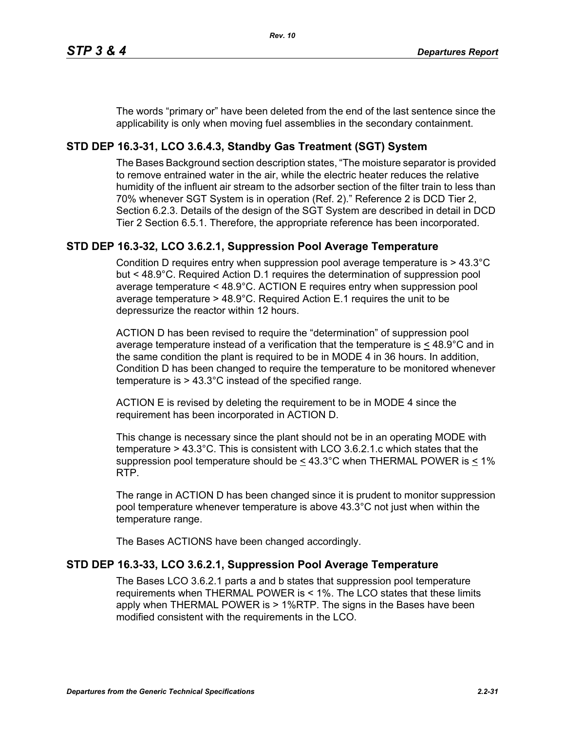The words "primary or" have been deleted from the end of the last sentence since the applicability is only when moving fuel assemblies in the secondary containment.

# **STD DEP 16.3-31, LCO 3.6.4.3, Standby Gas Treatment (SGT) System**

The Bases Background section description states, "The moisture separator is provided to remove entrained water in the air, while the electric heater reduces the relative humidity of the influent air stream to the adsorber section of the filter train to less than 70% whenever SGT System is in operation (Ref. 2)." Reference 2 is DCD Tier 2, Section 6.2.3. Details of the design of the SGT System are described in detail in DCD Tier 2 Section 6.5.1. Therefore, the appropriate reference has been incorporated.

# **STD DEP 16.3-32, LCO 3.6.2.1, Suppression Pool Average Temperature**

Condition D requires entry when suppression pool average temperature is > 43.3°C but < 48.9°C. Required Action D.1 requires the determination of suppression pool average temperature < 48.9°C. ACTION E requires entry when suppression pool average temperature > 48.9°C. Required Action E.1 requires the unit to be depressurize the reactor within 12 hours.

ACTION D has been revised to require the "determination" of suppression pool average temperature instead of a verification that the temperature is  $\leq 48.9^{\circ}$ C and in the same condition the plant is required to be in MODE 4 in 36 hours. In addition, Condition D has been changed to require the temperature to be monitored whenever temperature is > 43.3°C instead of the specified range.

ACTION E is revised by deleting the requirement to be in MODE 4 since the requirement has been incorporated in ACTION D.

This change is necessary since the plant should not be in an operating MODE with temperature > 43.3°C. This is consistent with LCO 3.6.2.1.c which states that the suppression pool temperature should be  $\leq 43.3^{\circ}$ C when THERMAL POWER is  $\leq 1\%$ RTP.

The range in ACTION D has been changed since it is prudent to monitor suppression pool temperature whenever temperature is above 43.3°C not just when within the temperature range.

The Bases ACTIONS have been changed accordingly.

# **STD DEP 16.3-33, LCO 3.6.2.1, Suppression Pool Average Temperature**

The Bases LCO 3.6.2.1 parts a and b states that suppression pool temperature requirements when THERMAL POWER is < 1%. The LCO states that these limits apply when THERMAL POWER is > 1%RTP. The signs in the Bases have been modified consistent with the requirements in the LCO.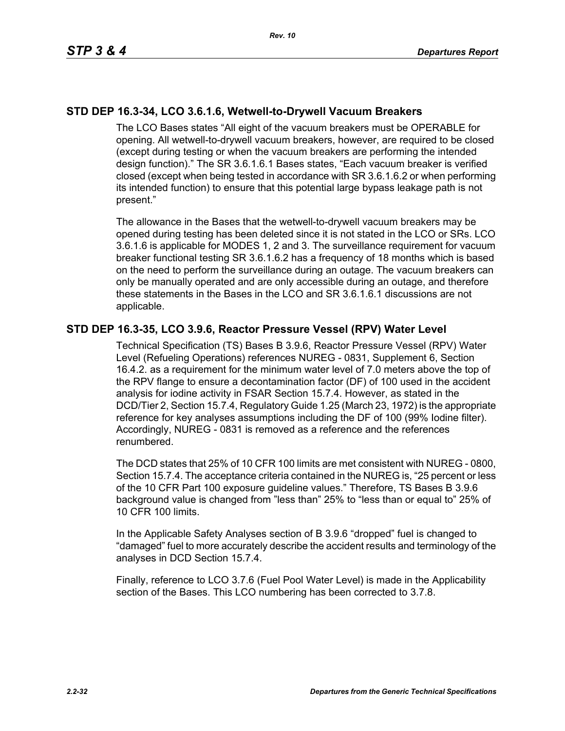# **STD DEP 16.3-34, LCO 3.6.1.6, Wetwell-to-Drywell Vacuum Breakers**

The LCO Bases states "All eight of the vacuum breakers must be OPERABLE for opening. All wetwell-to-drywell vacuum breakers, however, are required to be closed (except during testing or when the vacuum breakers are performing the intended design function)." The SR 3.6.1.6.1 Bases states, "Each vacuum breaker is verified closed (except when being tested in accordance with SR 3.6.1.6.2 or when performing its intended function) to ensure that this potential large bypass leakage path is not present."

The allowance in the Bases that the wetwell-to-drywell vacuum breakers may be opened during testing has been deleted since it is not stated in the LCO or SRs. LCO 3.6.1.6 is applicable for MODES 1, 2 and 3. The surveillance requirement for vacuum breaker functional testing SR 3.6.1.6.2 has a frequency of 18 months which is based on the need to perform the surveillance during an outage. The vacuum breakers can only be manually operated and are only accessible during an outage, and therefore these statements in the Bases in the LCO and SR 3.6.1.6.1 discussions are not applicable.

## **STD DEP 16.3-35, LCO 3.9.6, Reactor Pressure Vessel (RPV) Water Level**

Technical Specification (TS) Bases B 3.9.6, Reactor Pressure Vessel (RPV) Water Level (Refueling Operations) references NUREG - 0831, Supplement 6, Section 16.4.2. as a requirement for the minimum water level of 7.0 meters above the top of the RPV flange to ensure a decontamination factor (DF) of 100 used in the accident analysis for iodine activity in FSAR Section 15.7.4. However, as stated in the DCD/Tier 2, Section 15.7.4, Regulatory Guide 1.25 (March 23, 1972) is the appropriate reference for key analyses assumptions including the DF of 100 (99% Iodine filter). Accordingly, NUREG - 0831 is removed as a reference and the references renumbered.

The DCD states that 25% of 10 CFR 100 limits are met consistent with NUREG - 0800, Section 15.7.4. The acceptance criteria contained in the NUREG is, "25 percent or less of the 10 CFR Part 100 exposure guideline values." Therefore, TS Bases B 3.9.6 background value is changed from "less than" 25% to "less than or equal to" 25% of 10 CFR 100 limits.

In the Applicable Safety Analyses section of B 3.9.6 "dropped" fuel is changed to "damaged" fuel to more accurately describe the accident results and terminology of the analyses in DCD Section 15.7.4.

Finally, reference to LCO 3.7.6 (Fuel Pool Water Level) is made in the Applicability section of the Bases. This LCO numbering has been corrected to 3.7.8.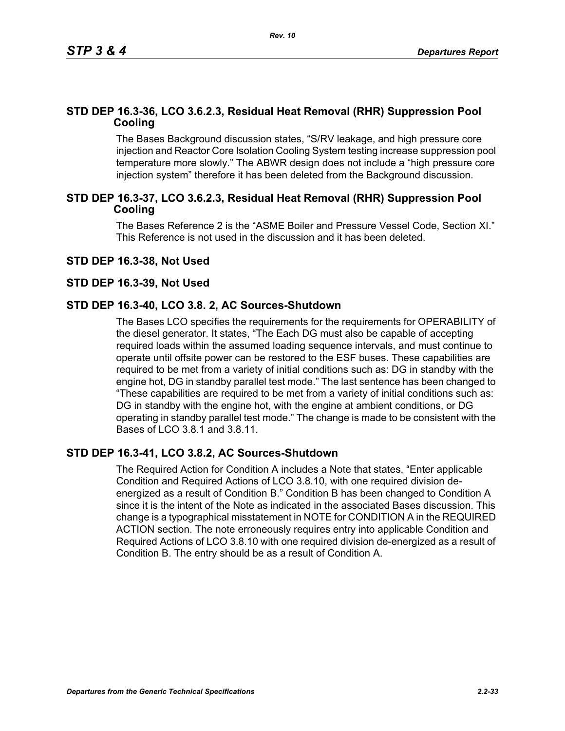# **STD DEP 16.3-36, LCO 3.6.2.3, Residual Heat Removal (RHR) Suppression Pool Cooling**

The Bases Background discussion states, "S/RV leakage, and high pressure core injection and Reactor Core Isolation Cooling System testing increase suppression pool temperature more slowly." The ABWR design does not include a "high pressure core injection system" therefore it has been deleted from the Background discussion.

## **STD DEP 16.3-37, LCO 3.6.2.3, Residual Heat Removal (RHR) Suppression Pool Cooling**

The Bases Reference 2 is the "ASME Boiler and Pressure Vessel Code, Section XI." This Reference is not used in the discussion and it has been deleted.

## **STD DEP 16.3-38, Not Used**

#### **STD DEP 16.3-39, Not Used**

## **STD DEP 16.3-40, LCO 3.8. 2, AC Sources-Shutdown**

The Bases LCO specifies the requirements for the requirements for OPERABILITY of the diesel generator. It states, "The Each DG must also be capable of accepting required loads within the assumed loading sequence intervals, and must continue to operate until offsite power can be restored to the ESF buses. These capabilities are required to be met from a variety of initial conditions such as: DG in standby with the engine hot, DG in standby parallel test mode." The last sentence has been changed to "These capabilities are required to be met from a variety of initial conditions such as: DG in standby with the engine hot, with the engine at ambient conditions, or DG operating in standby parallel test mode." The change is made to be consistent with the Bases of LCO 3.8.1 and 3.8.11.

## **STD DEP 16.3-41, LCO 3.8.2, AC Sources-Shutdown**

The Required Action for Condition A includes a Note that states, "Enter applicable Condition and Required Actions of LCO 3.8.10, with one required division deenergized as a result of Condition B." Condition B has been changed to Condition A since it is the intent of the Note as indicated in the associated Bases discussion. This change is a typographical misstatement in NOTE for CONDITION A in the REQUIRED ACTION section. The note erroneously requires entry into applicable Condition and Required Actions of LCO 3.8.10 with one required division de-energized as a result of Condition B. The entry should be as a result of Condition A.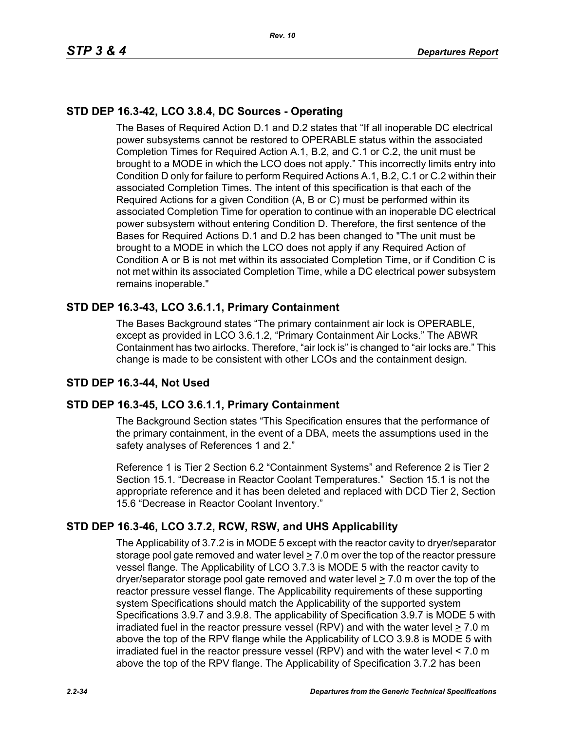# **STD DEP 16.3-42, LCO 3.8.4, DC Sources - Operating**

The Bases of Required Action D.1 and D.2 states that "If all inoperable DC electrical power subsystems cannot be restored to OPERABLE status within the associated Completion Times for Required Action A.1, B.2, and C.1 or C.2, the unit must be brought to a MODE in which the LCO does not apply." This incorrectly limits entry into Condition D only for failure to perform Required Actions A.1, B.2, C.1 or C.2 within their associated Completion Times. The intent of this specification is that each of the Required Actions for a given Condition (A, B or C) must be performed within its associated Completion Time for operation to continue with an inoperable DC electrical power subsystem without entering Condition D. Therefore, the first sentence of the Bases for Required Actions D.1 and D.2 has been changed to "The unit must be brought to a MODE in which the LCO does not apply if any Required Action of Condition A or B is not met within its associated Completion Time, or if Condition C is not met within its associated Completion Time, while a DC electrical power subsystem remains inoperable."

# **STD DEP 16.3-43, LCO 3.6.1.1, Primary Containment**

The Bases Background states "The primary containment air lock is OPERABLE, except as provided in LCO 3.6.1.2, "Primary Containment Air Locks." The ABWR Containment has two airlocks. Therefore, "air lock is" is changed to "air locks are." This change is made to be consistent with other LCOs and the containment design.

# **STD DEP 16.3-44, Not Used**

# **STD DEP 16.3-45, LCO 3.6.1.1, Primary Containment**

The Background Section states "This Specification ensures that the performance of the primary containment, in the event of a DBA, meets the assumptions used in the safety analyses of References 1 and 2."

Reference 1 is Tier 2 Section 6.2 "Containment Systems" and Reference 2 is Tier 2 Section 15.1. "Decrease in Reactor Coolant Temperatures." Section 15.1 is not the appropriate reference and it has been deleted and replaced with DCD Tier 2, Section 15.6 "Decrease in Reactor Coolant Inventory."

# **STD DEP 16.3-46, LCO 3.7.2, RCW, RSW, and UHS Applicability**

The Applicability of 3.7.2 is in MODE 5 except with the reactor cavity to dryer/separator storage pool gate removed and water level  $\geq 7.0$  m over the top of the reactor pressure vessel flange. The Applicability of LCO 3.7.3 is MODE 5 with the reactor cavity to dryer/separator storage pool gate removed and water level  $\geq 7.0$  m over the top of the reactor pressure vessel flange. The Applicability requirements of these supporting system Specifications should match the Applicability of the supported system Specifications 3.9.7 and 3.9.8. The applicability of Specification 3.9.7 is MODE 5 with irradiated fuel in the reactor pressure vessel (RPV) and with the water level > 7.0 m above the top of the RPV flange while the Applicability of LCO 3.9.8 is MODE 5 with irradiated fuel in the reactor pressure vessel (RPV) and with the water level < 7.0 m above the top of the RPV flange. The Applicability of Specification 3.7.2 has been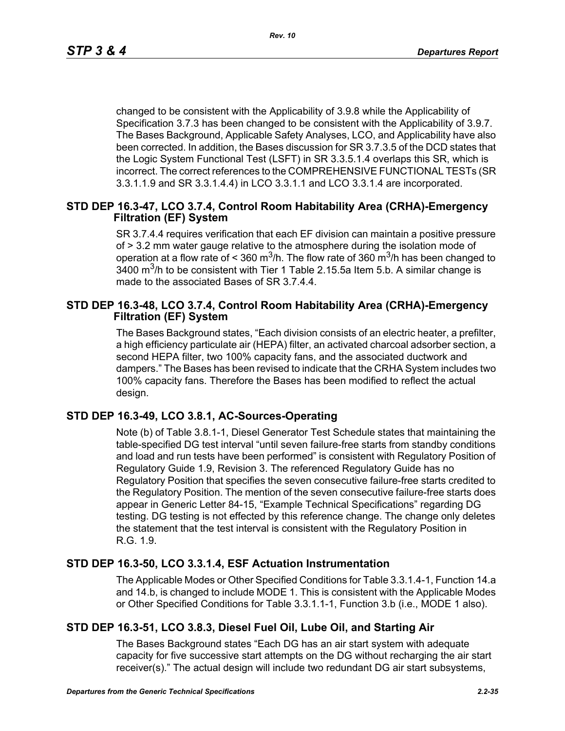changed to be consistent with the Applicability of 3.9.8 while the Applicability of Specification 3.7.3 has been changed to be consistent with the Applicability of 3.9.7. The Bases Background, Applicable Safety Analyses, LCO, and Applicability have also been corrected. In addition, the Bases discussion for SR 3.7.3.5 of the DCD states that the Logic System Functional Test (LSFT) in SR 3.3.5.1.4 overlaps this SR, which is incorrect. The correct references to the COMPREHENSIVE FUNCTIONAL TESTs (SR 3.3.1.1.9 and SR 3.3.1.4.4) in LCO 3.3.1.1 and LCO 3.3.1.4 are incorporated.

## **STD DEP 16.3-47, LCO 3.7.4, Control Room Habitability Area (CRHA)-Emergency Filtration (EF) System**

SR 3.7.4.4 requires verification that each EF division can maintain a positive pressure of > 3.2 mm water gauge relative to the atmosphere during the isolation mode of operation at a flow rate of < 360 m<sup>3</sup>/h. The flow rate of 360 m<sup>3</sup>/h has been changed to  $3400$  m<sup>3</sup>/h to be consistent with Tier 1 Table 2.15.5a Item 5.b. A similar change is made to the associated Bases of SR 3.7.4.4.

## **STD DEP 16.3-48, LCO 3.7.4, Control Room Habitability Area (CRHA)-Emergency Filtration (EF) System**

The Bases Background states, "Each division consists of an electric heater, a prefilter, a high efficiency particulate air (HEPA) filter, an activated charcoal adsorber section, a second HEPA filter, two 100% capacity fans, and the associated ductwork and dampers." The Bases has been revised to indicate that the CRHA System includes two 100% capacity fans. Therefore the Bases has been modified to reflect the actual design.

# **STD DEP 16.3-49, LCO 3.8.1, AC-Sources-Operating**

Note (b) of Table 3.8.1-1, Diesel Generator Test Schedule states that maintaining the table-specified DG test interval "until seven failure-free starts from standby conditions and load and run tests have been performed" is consistent with Regulatory Position of Regulatory Guide 1.9, Revision 3. The referenced Regulatory Guide has no Regulatory Position that specifies the seven consecutive failure-free starts credited to the Regulatory Position. The mention of the seven consecutive failure-free starts does appear in Generic Letter 84-15, "Example Technical Specifications" regarding DG testing. DG testing is not effected by this reference change. The change only deletes the statement that the test interval is consistent with the Regulatory Position in R.G. 1.9.

# **STD DEP 16.3-50, LCO 3.3.1.4, ESF Actuation Instrumentation**

The Applicable Modes or Other Specified Conditions for Table 3.3.1.4-1, Function 14.a and 14.b, is changed to include MODE 1. This is consistent with the Applicable Modes or Other Specified Conditions for Table 3.3.1.1-1, Function 3.b (i.e., MODE 1 also).

# **STD DEP 16.3-51, LCO 3.8.3, Diesel Fuel Oil, Lube Oil, and Starting Air**

The Bases Background states "Each DG has an air start system with adequate capacity for five successive start attempts on the DG without recharging the air start receiver(s)." The actual design will include two redundant DG air start subsystems,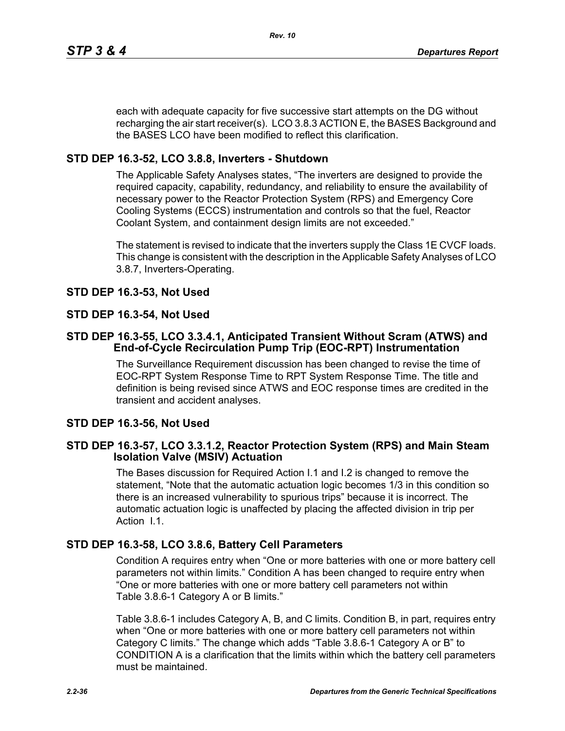each with adequate capacity for five successive start attempts on the DG without recharging the air start receiver(s). LCO 3.8.3 ACTION E, the BASES Background and the BASES LCO have been modified to reflect this clarification.

# **STD DEP 16.3-52, LCO 3.8.8, Inverters - Shutdown**

The Applicable Safety Analyses states, "The inverters are designed to provide the required capacity, capability, redundancy, and reliability to ensure the availability of necessary power to the Reactor Protection System (RPS) and Emergency Core Cooling Systems (ECCS) instrumentation and controls so that the fuel, Reactor Coolant System, and containment design limits are not exceeded."

The statement is revised to indicate that the inverters supply the Class 1E CVCF loads. This change is consistent with the description in the Applicable Safety Analyses of LCO 3.8.7, Inverters-Operating.

# **STD DEP 16.3-53, Not Used**

# **STD DEP 16.3-54, Not Used**

## **STD DEP 16.3-55, LCO 3.3.4.1, Anticipated Transient Without Scram (ATWS) and End-of-Cycle Recirculation Pump Trip (EOC-RPT) Instrumentation**

The Surveillance Requirement discussion has been changed to revise the time of EOC-RPT System Response Time to RPT System Response Time. The title and definition is being revised since ATWS and EOC response times are credited in the transient and accident analyses.

# **STD DEP 16.3-56, Not Used**

## **STD DEP 16.3-57, LCO 3.3.1.2, Reactor Protection System (RPS) and Main Steam Isolation Valve (MSIV) Actuation**

The Bases discussion for Required Action I.1 and I.2 is changed to remove the statement, "Note that the automatic actuation logic becomes 1/3 in this condition so there is an increased vulnerability to spurious trips" because it is incorrect. The automatic actuation logic is unaffected by placing the affected division in trip per Action I.1.

# **STD DEP 16.3-58, LCO 3.8.6, Battery Cell Parameters**

Condition A requires entry when "One or more batteries with one or more battery cell parameters not within limits." Condition A has been changed to require entry when "One or more batteries with one or more battery cell parameters not within Table 3.8.6-1 Category A or B limits."

Table 3.8.6-1 includes Category A, B, and C limits. Condition B, in part, requires entry when "One or more batteries with one or more battery cell parameters not within Category C limits." The change which adds "Table 3.8.6-1 Category A or B" to CONDITION A is a clarification that the limits within which the battery cell parameters must be maintained.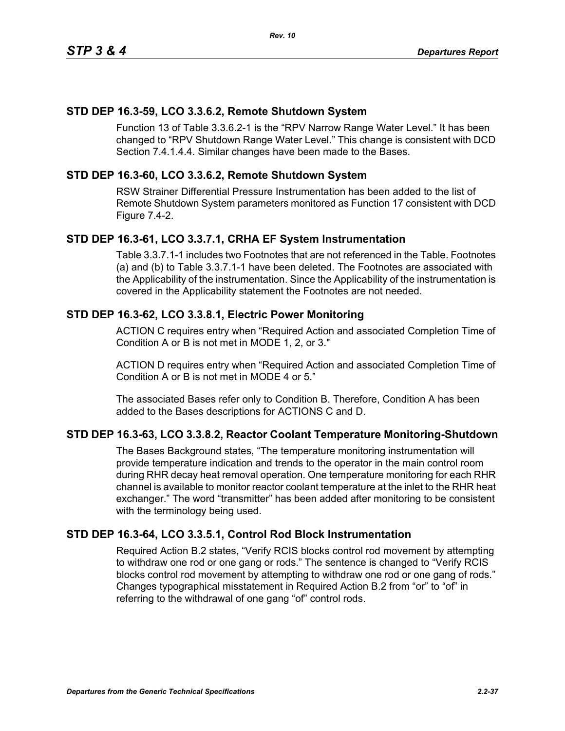## **STD DEP 16.3-59, LCO 3.3.6.2, Remote Shutdown System**

Function 13 of Table 3.3.6.2-1 is the "RPV Narrow Range Water Level." It has been changed to "RPV Shutdown Range Water Level." This change is consistent with DCD Section 7.4.1.4.4. Similar changes have been made to the Bases.

## **STD DEP 16.3-60, LCO 3.3.6.2, Remote Shutdown System**

RSW Strainer Differential Pressure Instrumentation has been added to the list of Remote Shutdown System parameters monitored as Function 17 consistent with DCD Figure 7.4-2.

## **STD DEP 16.3-61, LCO 3.3.7.1, CRHA EF System Instrumentation**

Table 3.3.7.1-1 includes two Footnotes that are not referenced in the Table. Footnotes (a) and (b) to Table 3.3.7.1-1 have been deleted. The Footnotes are associated with the Applicability of the instrumentation. Since the Applicability of the instrumentation is covered in the Applicability statement the Footnotes are not needed.

## **STD DEP 16.3-62, LCO 3.3.8.1, Electric Power Monitoring**

ACTION C requires entry when "Required Action and associated Completion Time of Condition A or B is not met in MODE 1, 2, or 3."

ACTION D requires entry when "Required Action and associated Completion Time of Condition A or B is not met in MODE 4 or 5."

The associated Bases refer only to Condition B. Therefore, Condition A has been added to the Bases descriptions for ACTIONS C and D.

## **STD DEP 16.3-63, LCO 3.3.8.2, Reactor Coolant Temperature Monitoring-Shutdown**

The Bases Background states, "The temperature monitoring instrumentation will provide temperature indication and trends to the operator in the main control room during RHR decay heat removal operation. One temperature monitoring for each RHR channel is available to monitor reactor coolant temperature at the inlet to the RHR heat exchanger." The word "transmitter" has been added after monitoring to be consistent with the terminology being used.

## **STD DEP 16.3-64, LCO 3.3.5.1, Control Rod Block Instrumentation**

Required Action B.2 states, "Verify RCIS blocks control rod movement by attempting to withdraw one rod or one gang or rods." The sentence is changed to "Verify RCIS blocks control rod movement by attempting to withdraw one rod or one gang of rods." Changes typographical misstatement in Required Action B.2 from "or" to "of" in referring to the withdrawal of one gang "of" control rods.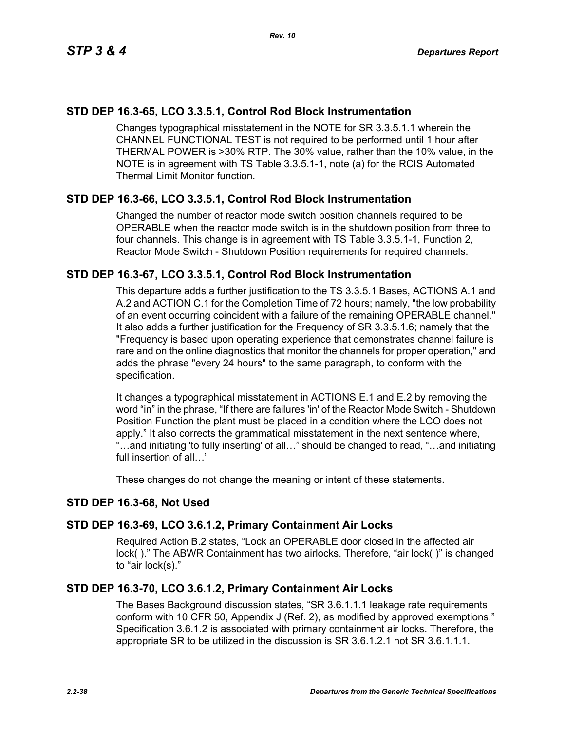# **STD DEP 16.3-65, LCO 3.3.5.1, Control Rod Block Instrumentation**

Changes typographical misstatement in the NOTE for SR 3.3.5.1.1 wherein the CHANNEL FUNCTIONAL TEST is not required to be performed until 1 hour after THERMAL POWER is >30% RTP. The 30% value, rather than the 10% value, in the NOTE is in agreement with TS Table 3.3.5.1-1, note (a) for the RCIS Automated Thermal Limit Monitor function.

## **STD DEP 16.3-66, LCO 3.3.5.1, Control Rod Block Instrumentation**

Changed the number of reactor mode switch position channels required to be OPERABLE when the reactor mode switch is in the shutdown position from three to four channels. This change is in agreement with TS Table 3.3.5.1-1, Function 2, Reactor Mode Switch - Shutdown Position requirements for required channels.

## **STD DEP 16.3-67, LCO 3.3.5.1, Control Rod Block Instrumentation**

This departure adds a further justification to the TS 3.3.5.1 Bases, ACTIONS A.1 and A.2 and ACTION C.1 for the Completion Time of 72 hours; namely, "the low probability of an event occurring coincident with a failure of the remaining OPERABLE channel." It also adds a further justification for the Frequency of SR 3.3.5.1.6; namely that the "Frequency is based upon operating experience that demonstrates channel failure is rare and on the online diagnostics that monitor the channels for proper operation," and adds the phrase "every 24 hours" to the same paragraph, to conform with the specification.

It changes a typographical misstatement in ACTIONS E.1 and E.2 by removing the word "in" in the phrase, "If there are failures 'in' of the Reactor Mode Switch - Shutdown Position Function the plant must be placed in a condition where the LCO does not apply." It also corrects the grammatical misstatement in the next sentence where, "…and initiating 'to fully inserting' of all…" should be changed to read, "…and initiating full insertion of all…"

These changes do not change the meaning or intent of these statements.

## **STD DEP 16.3-68, Not Used**

## **STD DEP 16.3-69, LCO 3.6.1.2, Primary Containment Air Locks**

Required Action B.2 states, "Lock an OPERABLE door closed in the affected air lock( )." The ABWR Containment has two airlocks. Therefore, "air lock( )" is changed to "air lock(s)."

## **STD DEP 16.3-70, LCO 3.6.1.2, Primary Containment Air Locks**

The Bases Background discussion states, "SR 3.6.1.1.1 leakage rate requirements conform with 10 CFR 50, Appendix J (Ref. 2), as modified by approved exemptions." Specification 3.6.1.2 is associated with primary containment air locks. Therefore, the appropriate SR to be utilized in the discussion is SR 3.6.1.2.1 not SR 3.6.1.1.1.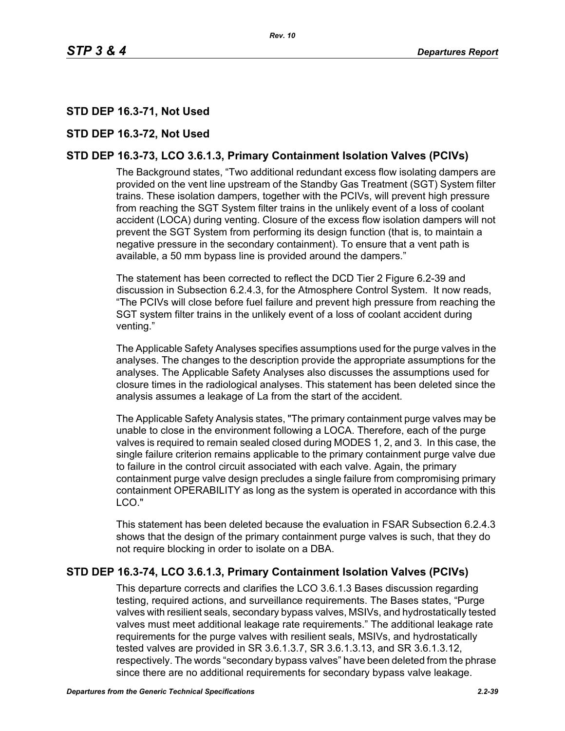# **STD DEP 16.3-71, Not Used**

## **STD DEP 16.3-72, Not Used**

# **STD DEP 16.3-73, LCO 3.6.1.3, Primary Containment Isolation Valves (PCIVs)**

The Background states, "Two additional redundant excess flow isolating dampers are provided on the vent line upstream of the Standby Gas Treatment (SGT) System filter trains. These isolation dampers, together with the PCIVs, will prevent high pressure from reaching the SGT System filter trains in the unlikely event of a loss of coolant accident (LOCA) during venting. Closure of the excess flow isolation dampers will not prevent the SGT System from performing its design function (that is, to maintain a negative pressure in the secondary containment). To ensure that a vent path is available, a 50 mm bypass line is provided around the dampers."

The statement has been corrected to reflect the DCD Tier 2 Figure 6.2-39 and discussion in Subsection 6.2.4.3, for the Atmosphere Control System. It now reads, "The PCIVs will close before fuel failure and prevent high pressure from reaching the SGT system filter trains in the unlikely event of a loss of coolant accident during venting."

The Applicable Safety Analyses specifies assumptions used for the purge valves in the analyses. The changes to the description provide the appropriate assumptions for the analyses. The Applicable Safety Analyses also discusses the assumptions used for closure times in the radiological analyses. This statement has been deleted since the analysis assumes a leakage of La from the start of the accident.

The Applicable Safety Analysis states, "The primary containment purge valves may be unable to close in the environment following a LOCA. Therefore, each of the purge valves is required to remain sealed closed during MODES 1, 2, and 3. In this case, the single failure criterion remains applicable to the primary containment purge valve due to failure in the control circuit associated with each valve. Again, the primary containment purge valve design precludes a single failure from compromising primary containment OPERABILITY as long as the system is operated in accordance with this LCO."

This statement has been deleted because the evaluation in FSAR Subsection 6.2.4.3 shows that the design of the primary containment purge valves is such, that they do not require blocking in order to isolate on a DBA.

## **STD DEP 16.3-74, LCO 3.6.1.3, Primary Containment Isolation Valves (PCIVs)**

This departure corrects and clarifies the LCO 3.6.1.3 Bases discussion regarding testing, required actions, and surveillance requirements. The Bases states, "Purge valves with resilient seals, secondary bypass valves, MSIVs, and hydrostatically tested valves must meet additional leakage rate requirements." The additional leakage rate requirements for the purge valves with resilient seals, MSIVs, and hydrostatically tested valves are provided in SR 3.6.1.3.7, SR 3.6.1.3.13, and SR 3.6.1.3.12, respectively. The words "secondary bypass valves" have been deleted from the phrase since there are no additional requirements for secondary bypass valve leakage.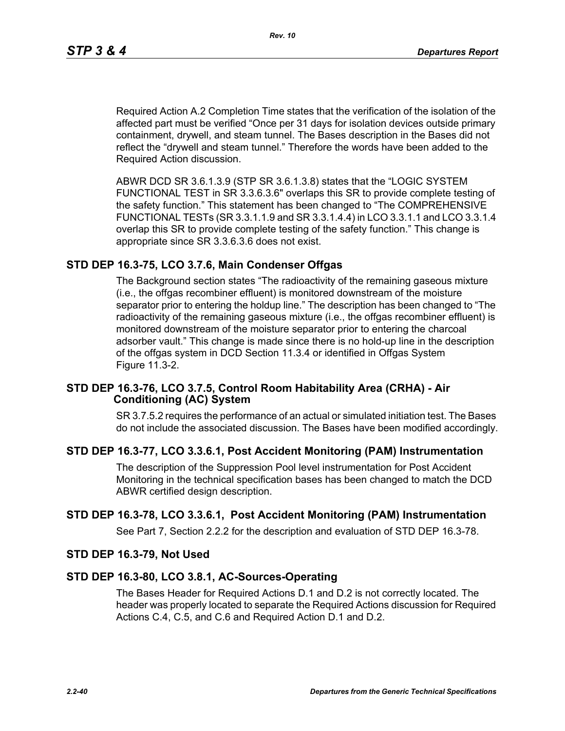Required Action A.2 Completion Time states that the verification of the isolation of the affected part must be verified "Once per 31 days for isolation devices outside primary containment, drywell, and steam tunnel. The Bases description in the Bases did not reflect the "drywell and steam tunnel." Therefore the words have been added to the Required Action discussion.

ABWR DCD SR 3.6.1.3.9 (STP SR 3.6.1.3.8) states that the "LOGIC SYSTEM FUNCTIONAL TEST in SR 3.3.6.3.6" overlaps this SR to provide complete testing of the safety function." This statement has been changed to "The COMPREHENSIVE FUNCTIONAL TESTs (SR 3.3.1.1.9 and SR 3.3.1.4.4) in LCO 3.3.1.1 and LCO 3.3.1.4 overlap this SR to provide complete testing of the safety function." This change is appropriate since SR 3.3.6.3.6 does not exist.

## **STD DEP 16.3-75, LCO 3.7.6, Main Condenser Offgas**

The Background section states "The radioactivity of the remaining gaseous mixture (i.e., the offgas recombiner effluent) is monitored downstream of the moisture separator prior to entering the holdup line." The description has been changed to "The radioactivity of the remaining gaseous mixture (i.e., the offgas recombiner effluent) is monitored downstream of the moisture separator prior to entering the charcoal adsorber vault." This change is made since there is no hold-up line in the description of the offgas system in DCD Section 11.3.4 or identified in Offgas System Figure 11.3-2.

#### **STD DEP 16.3-76, LCO 3.7.5, Control Room Habitability Area (CRHA) - Air Conditioning (AC) System**

SR 3.7.5.2 requires the performance of an actual or simulated initiation test. The Bases do not include the associated discussion. The Bases have been modified accordingly.

## **STD DEP 16.3-77, LCO 3.3.6.1, Post Accident Monitoring (PAM) Instrumentation**

The description of the Suppression Pool level instrumentation for Post Accident Monitoring in the technical specification bases has been changed to match the DCD ABWR certified design description.

## **STD DEP 16.3-78, LCO 3.3.6.1, Post Accident Monitoring (PAM) Instrumentation**

See Part 7, Section 2.2.2 for the description and evaluation of STD DEP 16.3-78.

#### **STD DEP 16.3-79, Not Used**

#### **STD DEP 16.3-80, LCO 3.8.1, AC-Sources-Operating**

The Bases Header for Required Actions D.1 and D.2 is not correctly located. The header was properly located to separate the Required Actions discussion for Required Actions C.4, C.5, and C.6 and Required Action D.1 and D.2.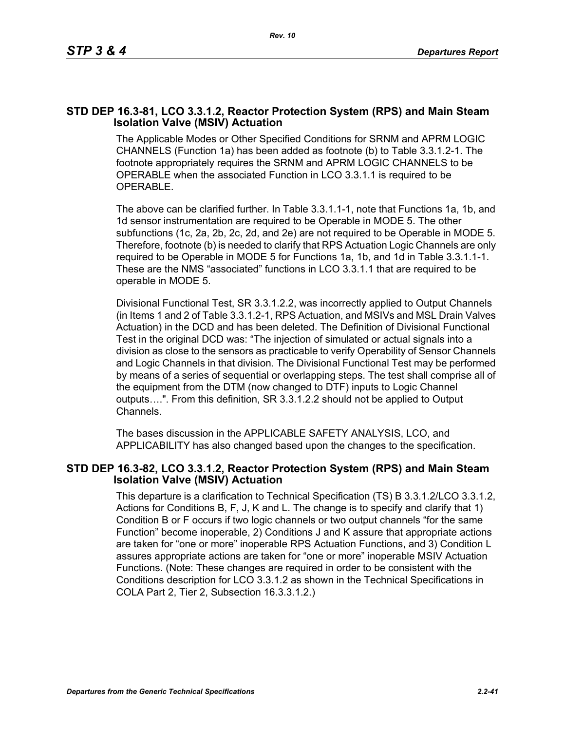## **STD DEP 16.3-81, LCO 3.3.1.2, Reactor Protection System (RPS) and Main Steam Isolation Valve (MSIV) Actuation**

The Applicable Modes or Other Specified Conditions for SRNM and APRM LOGIC CHANNELS (Function 1a) has been added as footnote (b) to Table 3.3.1.2-1. The footnote appropriately requires the SRNM and APRM LOGIC CHANNELS to be OPERABLE when the associated Function in LCO 3.3.1.1 is required to be OPERABLE.

The above can be clarified further. In Table 3.3.1.1-1, note that Functions 1a, 1b, and 1d sensor instrumentation are required to be Operable in MODE 5. The other subfunctions (1c, 2a, 2b, 2c, 2d, and 2e) are not required to be Operable in MODE 5. Therefore, footnote (b) is needed to clarify that RPS Actuation Logic Channels are only required to be Operable in MODE 5 for Functions 1a, 1b, and 1d in Table 3.3.1.1-1. These are the NMS "associated" functions in LCO 3.3.1.1 that are required to be operable in MODE 5.

Divisional Functional Test, SR 3.3.1.2.2, was incorrectly applied to Output Channels (in Items 1 and 2 of Table 3.3.1.2-1, RPS Actuation, and MSIVs and MSL Drain Valves Actuation) in the DCD and has been deleted. The Definition of Divisional Functional Test in the original DCD was: "The injection of simulated or actual signals into a division as close to the sensors as practicable to verify Operability of Sensor Channels and Logic Channels in that division. The Divisional Functional Test may be performed by means of a series of sequential or overlapping steps. The test shall comprise all of the equipment from the DTM (now changed to DTF) inputs to Logic Channel outputs….". From this definition, SR 3.3.1.2.2 should not be applied to Output Channels.

The bases discussion in the APPLICABLE SAFETY ANALYSIS, LCO, and APPLICABILITY has also changed based upon the changes to the specification.

#### **STD DEP 16.3-82, LCO 3.3.1.2, Reactor Protection System (RPS) and Main Steam Isolation Valve (MSIV) Actuation**

This departure is a clarification to Technical Specification (TS) B 3.3.1.2/LCO 3.3.1.2, Actions for Conditions B, F, J, K and L. The change is to specify and clarify that 1) Condition B or F occurs if two logic channels or two output channels "for the same Function" become inoperable, 2) Conditions J and K assure that appropriate actions are taken for "one or more" inoperable RPS Actuation Functions, and 3) Condition L assures appropriate actions are taken for "one or more" inoperable MSIV Actuation Functions. (Note: These changes are required in order to be consistent with the Conditions description for LCO 3.3.1.2 as shown in the Technical Specifications in COLA Part 2, Tier 2, Subsection 16.3.3.1.2.)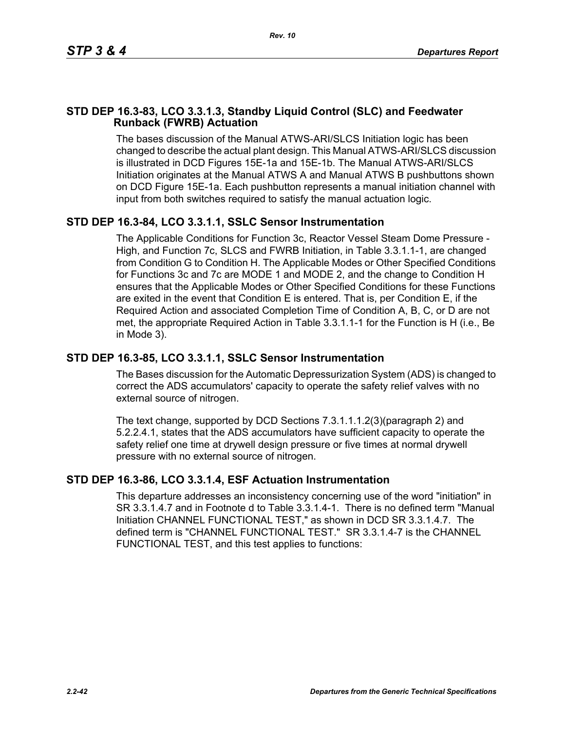## **STD DEP 16.3-83, LCO 3.3.1.3, Standby Liquid Control (SLC) and Feedwater Runback (FWRB) Actuation**

The bases discussion of the Manual ATWS-ARI/SLCS Initiation logic has been changed to describe the actual plant design. This Manual ATWS-ARI/SLCS discussion is illustrated in DCD Figures 15E-1a and 15E-1b. The Manual ATWS-ARI/SLCS Initiation originates at the Manual ATWS A and Manual ATWS B pushbuttons shown on DCD Figure 15E-1a. Each pushbutton represents a manual initiation channel with input from both switches required to satisfy the manual actuation logic.

# **STD DEP 16.3-84, LCO 3.3.1.1, SSLC Sensor Instrumentation**

The Applicable Conditions for Function 3c, Reactor Vessel Steam Dome Pressure - High, and Function 7c, SLCS and FWRB Initiation, in Table 3.3.1.1-1, are changed from Condition G to Condition H. The Applicable Modes or Other Specified Conditions for Functions 3c and 7c are MODE 1 and MODE 2, and the change to Condition H ensures that the Applicable Modes or Other Specified Conditions for these Functions are exited in the event that Condition E is entered. That is, per Condition E, if the Required Action and associated Completion Time of Condition A, B, C, or D are not met, the appropriate Required Action in Table 3.3.1.1-1 for the Function is H (i.e., Be in Mode 3).

# **STD DEP 16.3-85, LCO 3.3.1.1, SSLC Sensor Instrumentation**

The Bases discussion for the Automatic Depressurization System (ADS) is changed to correct the ADS accumulators' capacity to operate the safety relief valves with no external source of nitrogen.

The text change, supported by DCD Sections 7.3.1.1.1.2(3)(paragraph 2) and 5.2.2.4.1, states that the ADS accumulators have sufficient capacity to operate the safety relief one time at drywell design pressure or five times at normal drywell pressure with no external source of nitrogen.

# **STD DEP 16.3-86, LCO 3.3.1.4, ESF Actuation Instrumentation**

This departure addresses an inconsistency concerning use of the word "initiation" in SR 3.3.1.4.7 and in Footnote d to Table 3.3.1.4-1. There is no defined term "Manual Initiation CHANNEL FUNCTIONAL TEST," as shown in DCD SR 3.3.1.4.7. The defined term is "CHANNEL FUNCTIONAL TEST." SR 3.3.1.4-7 is the CHANNEL FUNCTIONAL TEST, and this test applies to functions: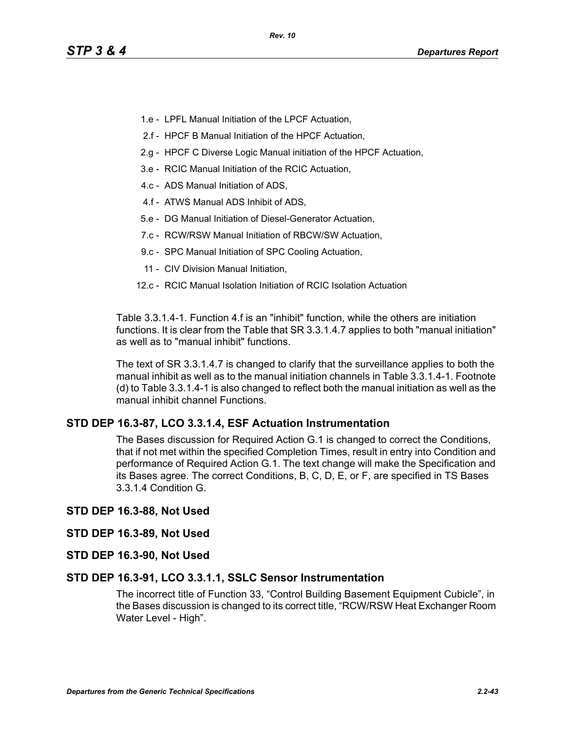- 1.e LPFL Manual Initiation of the LPCF Actuation,
- 2.f HPCF B Manual Initiation of the HPCF Actuation,
- 2.g HPCF C Diverse Logic Manual initiation of the HPCF Actuation,
- 3.e RCIC Manual Initiation of the RCIC Actuation,
- 4.c ADS Manual Initiation of ADS,
- 4.f ATWS Manual ADS Inhibit of ADS,
- 5.e DG Manual Initiation of Diesel-Generator Actuation,
- 7.c RCW/RSW Manual Initiation of RBCW/SW Actuation,
- 9.c SPC Manual Initiation of SPC Cooling Actuation,
- 11 CIV Division Manual Initiation,
- 12.c RCIC Manual Isolation Initiation of RCIC Isolation Actuation

Table 3.3.1.4-1. Function 4.f is an "inhibit" function, while the others are initiation functions. It is clear from the Table that SR 3.3.1.4.7 applies to both "manual initiation" as well as to "manual inhibit" functions.

The text of SR 3.3.1.4.7 is changed to clarify that the surveillance applies to both the manual inhibit as well as to the manual initiation channels in Table 3.3.1.4-1. Footnote (d) to Table 3.3.1.4-1 is also changed to reflect both the manual initiation as well as the manual inhibit channel Functions.

## **STD DEP 16.3-87, LCO 3.3.1.4, ESF Actuation Instrumentation**

The Bases discussion for Required Action G.1 is changed to correct the Conditions, that if not met within the specified Completion Times, result in entry into Condition and performance of Required Action G.1. The text change will make the Specification and its Bases agree. The correct Conditions, B, C, D, E, or F, are specified in TS Bases 3.3.1.4 Condition G.

#### **STD DEP 16.3-88, Not Used**

#### **STD DEP 16.3-89, Not Used**

**STD DEP 16.3-90, Not Used**

#### **STD DEP 16.3-91, LCO 3.3.1.1, SSLC Sensor Instrumentation**

The incorrect title of Function 33, "Control Building Basement Equipment Cubicle", in the Bases discussion is changed to its correct title, "RCW/RSW Heat Exchanger Room Water Level - High".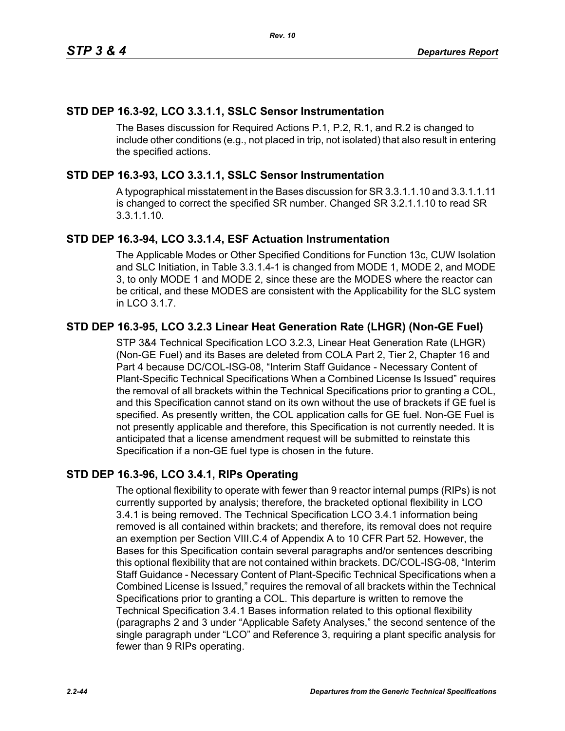# **STD DEP 16.3-92, LCO 3.3.1.1, SSLC Sensor Instrumentation**

The Bases discussion for Required Actions P.1, P.2, R.1, and R.2 is changed to include other conditions (e.g., not placed in trip, not isolated) that also result in entering the specified actions.

# **STD DEP 16.3-93, LCO 3.3.1.1, SSLC Sensor Instrumentation**

A typographical misstatement in the Bases discussion for SR 3.3.1.1.10 and 3.3.1.1.11 is changed to correct the specified SR number. Changed SR 3.2.1.1.10 to read SR 3.3.1.1.10.

# **STD DEP 16.3-94, LCO 3.3.1.4, ESF Actuation Instrumentation**

The Applicable Modes or Other Specified Conditions for Function 13c, CUW Isolation and SLC Initiation, in Table 3.3.1.4-1 is changed from MODE 1, MODE 2, and MODE 3, to only MODE 1 and MODE 2, since these are the MODES where the reactor can be critical, and these MODES are consistent with the Applicability for the SLC system in LCO 3.1.7.

# **STD DEP 16.3-95, LCO 3.2.3 Linear Heat Generation Rate (LHGR) (Non-GE Fuel)**

STP 3&4 Technical Specification LCO 3.2.3, Linear Heat Generation Rate (LHGR) (Non-GE Fuel) and its Bases are deleted from COLA Part 2, Tier 2, Chapter 16 and Part 4 because DC/COL-ISG-08, "Interim Staff Guidance - Necessary Content of Plant-Specific Technical Specifications When a Combined License Is Issued" requires the removal of all brackets within the Technical Specifications prior to granting a COL, and this Specification cannot stand on its own without the use of brackets if GE fuel is specified. As presently written, the COL application calls for GE fuel. Non-GE Fuel is not presently applicable and therefore, this Specification is not currently needed. It is anticipated that a license amendment request will be submitted to reinstate this Specification if a non-GE fuel type is chosen in the future.

# **STD DEP 16.3-96, LCO 3.4.1, RIPs Operating**

The optional flexibility to operate with fewer than 9 reactor internal pumps (RIPs) is not currently supported by analysis; therefore, the bracketed optional flexibility in LCO 3.4.1 is being removed. The Technical Specification LCO 3.4.1 information being removed is all contained within brackets; and therefore, its removal does not require an exemption per Section VIII.C.4 of Appendix A to 10 CFR Part 52. However, the Bases for this Specification contain several paragraphs and/or sentences describing this optional flexibility that are not contained within brackets. DC/COL-ISG-08, "Interim Staff Guidance - Necessary Content of Plant-Specific Technical Specifications when a Combined License is Issued," requires the removal of all brackets within the Technical Specifications prior to granting a COL. This departure is written to remove the Technical Specification 3.4.1 Bases information related to this optional flexibility (paragraphs 2 and 3 under "Applicable Safety Analyses," the second sentence of the single paragraph under "LCO" and Reference 3, requiring a plant specific analysis for fewer than 9 RIPs operating.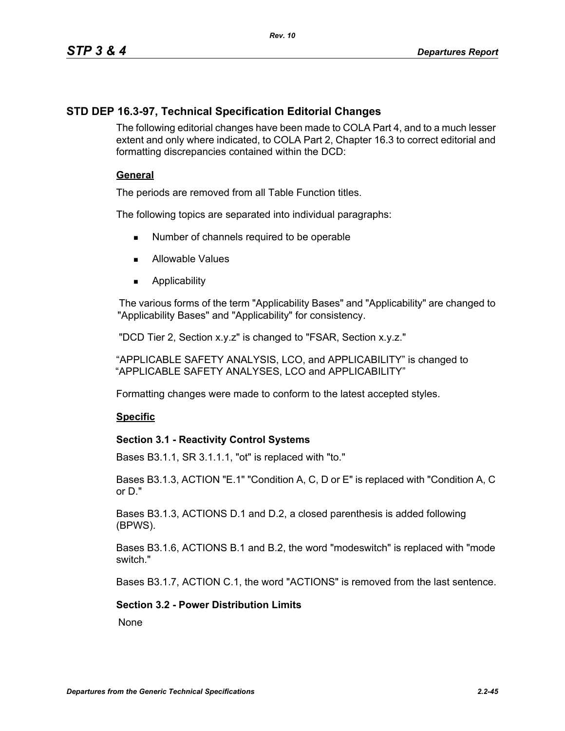# **STD DEP 16.3-97, Technical Specification Editorial Changes**

The following editorial changes have been made to COLA Part 4, and to a much lesser extent and only where indicated, to COLA Part 2, Chapter 16.3 to correct editorial and formatting discrepancies contained within the DCD:

## **General**

The periods are removed from all Table Function titles.

The following topics are separated into individual paragraphs:

- Number of channels required to be operable
- **Allowable Values**
- **Applicability**

The various forms of the term "Applicability Bases" and "Applicability" are changed to "Applicability Bases" and "Applicability" for consistency.

"DCD Tier 2, Section x.y.z" is changed to "FSAR, Section x.y.z."

"APPLICABLE SAFETY ANALYSIS, LCO, and APPLICABILITY" is changed to "APPLICABLE SAFETY ANALYSES, LCO and APPLICABILITY"

Formatting changes were made to conform to the latest accepted styles.

## **Specific**

## **Section 3.1 - Reactivity Control Systems**

Bases B3.1.1, SR 3.1.1.1, "ot" is replaced with "to."

Bases B3.1.3, ACTION "E.1" "Condition A, C, D or E" is replaced with "Condition A, C or D."

Bases B3.1.3, ACTIONS D.1 and D.2, a closed parenthesis is added following (BPWS).

Bases B3.1.6, ACTIONS B.1 and B.2, the word "modeswitch" is replaced with "mode switch."

Bases B3.1.7, ACTION C.1, the word "ACTIONS" is removed from the last sentence.

## **Section 3.2 - Power Distribution Limits**

**None**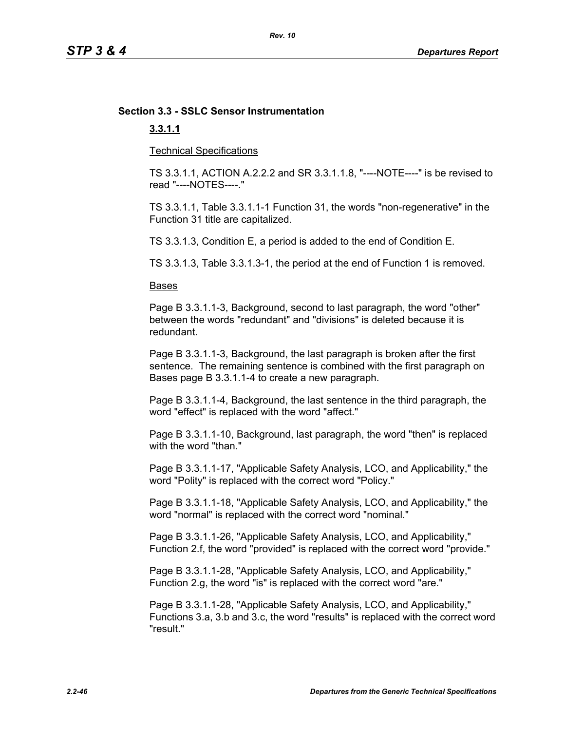# **Section 3.3 - SSLC Sensor Instrumentation**

## **3.3.1.1**

Technical Specifications

TS 3.3.1.1, ACTION A.2.2.2 and SR 3.3.1.1.8, "----NOTE----" is be revised to read "----NOTES----."

TS 3.3.1.1, Table 3.3.1.1-1 Function 31, the words "non-regenerative" in the Function 31 title are capitalized.

TS 3.3.1.3, Condition E, a period is added to the end of Condition E.

TS 3.3.1.3, Table 3.3.1.3-1, the period at the end of Function 1 is removed.

#### Bases

Page B 3.3.1.1-3, Background, second to last paragraph, the word "other" between the words "redundant" and "divisions" is deleted because it is redundant.

Page B 3.3.1.1-3, Background, the last paragraph is broken after the first sentence. The remaining sentence is combined with the first paragraph on Bases page B 3.3.1.1-4 to create a new paragraph.

Page B 3.3.1.1-4, Background, the last sentence in the third paragraph, the word "effect" is replaced with the word "affect."

Page B 3.3.1.1-10, Background, last paragraph, the word "then" is replaced with the word "than."

Page B 3.3.1.1-17, "Applicable Safety Analysis, LCO, and Applicability," the word "Polity" is replaced with the correct word "Policy."

Page B 3.3.1.1-18, "Applicable Safety Analysis, LCO, and Applicability," the word "normal" is replaced with the correct word "nominal."

Page B 3.3.1.1-26, "Applicable Safety Analysis, LCO, and Applicability," Function 2.f, the word "provided" is replaced with the correct word "provide."

Page B 3.3.1.1-28, "Applicable Safety Analysis, LCO, and Applicability," Function 2.g, the word "is" is replaced with the correct word "are."

Page B 3.3.1.1-28, "Applicable Safety Analysis, LCO, and Applicability," Functions 3.a, 3.b and 3.c, the word "results" is replaced with the correct word "result."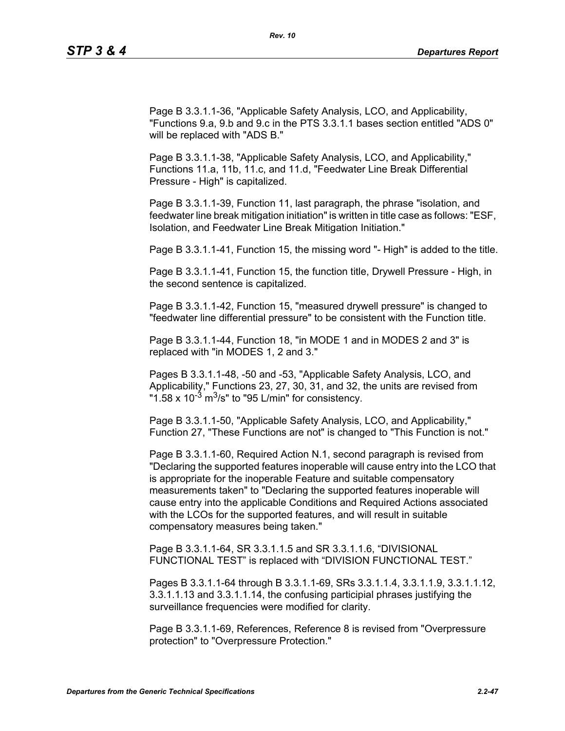Page B 3.3.1.1-36, "Applicable Safety Analysis, LCO, and Applicability, "Functions 9.a, 9.b and 9.c in the PTS 3.3.1.1 bases section entitled "ADS 0" will be replaced with "ADS B."

Page B 3.3.1.1-38, "Applicable Safety Analysis, LCO, and Applicability," Functions 11.a, 11b, 11.c, and 11.d, "Feedwater Line Break Differential Pressure - High" is capitalized.

Page B 3.3.1.1-39, Function 11, last paragraph, the phrase "isolation, and feedwater line break mitigation initiation" is written in title case as follows: "ESF, Isolation, and Feedwater Line Break Mitigation Initiation."

Page B 3.3.1.1-41, Function 15, the missing word "- High" is added to the title.

Page B 3.3.1.1-41, Function 15, the function title, Drywell Pressure - High, in the second sentence is capitalized.

Page B 3.3.1.1-42, Function 15, "measured drywell pressure" is changed to "feedwater line differential pressure" to be consistent with the Function title.

Page B 3.3.1.1-44, Function 18, "in MODE 1 and in MODES 2 and 3" is replaced with "in MODES 1, 2 and 3."

Pages B 3.3.1.1-48, -50 and -53, "Applicable Safety Analysis, LCO, and Applicability," Functions 23, 27, 30, 31, and 32, the units are revised from "1.58 x  $10^{-3}$  m<sup>3</sup>/s" to "95 L/min" for consistency.

Page B 3.3.1.1-50, "Applicable Safety Analysis, LCO, and Applicability," Function 27, "These Functions are not" is changed to "This Function is not."

Page B 3.3.1.1-60, Required Action N.1, second paragraph is revised from "Declaring the supported features inoperable will cause entry into the LCO that is appropriate for the inoperable Feature and suitable compensatory measurements taken" to "Declaring the supported features inoperable will cause entry into the applicable Conditions and Required Actions associated with the LCOs for the supported features, and will result in suitable compensatory measures being taken."

Page B 3.3.1.1-64, SR 3.3.1.1.5 and SR 3.3.1.1.6, "DIVISIONAL FUNCTIONAL TEST" is replaced with "DIVISION FUNCTIONAL TEST."

Pages B 3.3.1.1-64 through B 3.3.1.1-69, SRs 3.3.1.1.4, 3.3.1.1.9, 3.3.1.1.12, 3.3.1.1.13 and 3.3.1.1.14, the confusing participial phrases justifying the surveillance frequencies were modified for clarity.

Page B 3.3.1.1-69, References, Reference 8 is revised from "Overpressure protection" to "Overpressure Protection."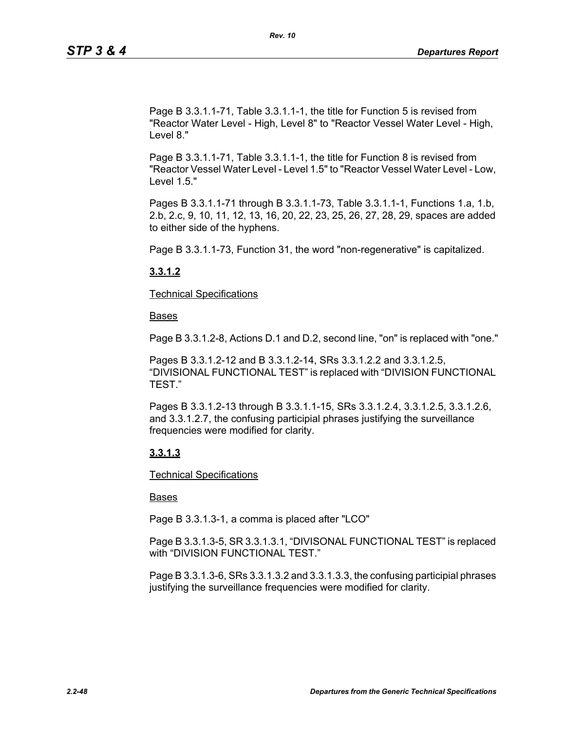Page B 3.3.1.1-71, Table 3.3.1.1-1, the title for Function 5 is revised from "Reactor Water Level - High, Level 8" to "Reactor Vessel Water Level - High, Level 8."

Page B 3.3.1.1-71, Table 3.3.1.1-1, the title for Function 8 is revised from "Reactor Vessel Water Level - Level 1.5" to "Reactor Vessel Water Level - Low, Level 1.5."

Pages B 3.3.1.1-71 through B 3.3.1.1-73, Table 3.3.1.1-1, Functions 1.a, 1.b, 2.b, 2.c, 9, 10, 11, 12, 13, 16, 20, 22, 23, 25, 26, 27, 28, 29, spaces are added to either side of the hyphens.

Page B 3.3.1.1-73, Function 31, the word "non-regenerative" is capitalized.

## **3.3.1.2**

Technical Specifications

Bases

Page B 3.3.1.2-8, Actions D.1 and D.2, second line, "on" is replaced with "one."

Pages B 3.3.1.2-12 and B 3.3.1.2-14, SRs 3.3.1.2.2 and 3.3.1.2.5, "DIVISIONAL FUNCTIONAL TEST" is replaced with "DIVISION FUNCTIONAL TEST."

Pages B 3.3.1.2-13 through B 3.3.1.1-15, SRs 3.3.1.2.4, 3.3.1.2.5, 3.3.1.2.6, and 3.3.1.2.7, the confusing participial phrases justifying the surveillance frequencies were modified for clarity.

## **3.3.1.3**

Technical Specifications

## Bases

Page B 3.3.1.3-1, a comma is placed after "LCO"

Page B 3.3.1.3-5, SR 3.3.1.3.1, "DIVISONAL FUNCTIONAL TEST" is replaced with "DIVISION FUNCTIONAL TEST."

Page B 3.3.1.3-6, SRs 3.3.1.3.2 and 3.3.1.3.3, the confusing participial phrases justifying the surveillance frequencies were modified for clarity.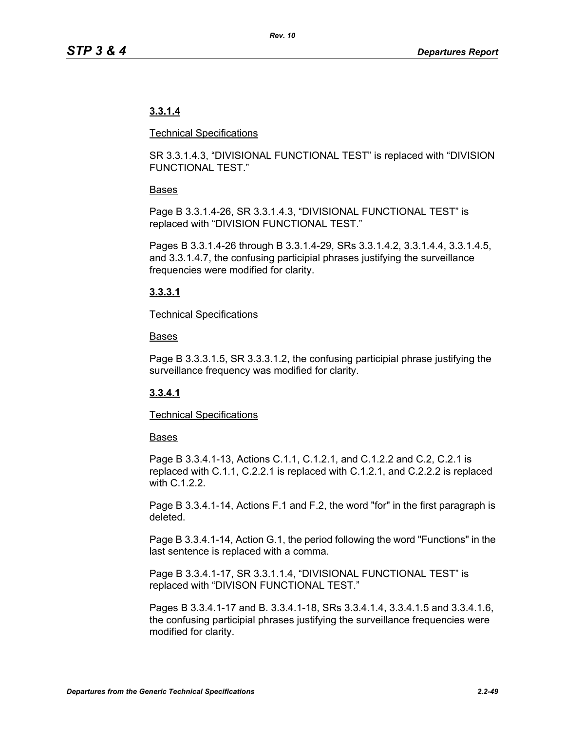# **3.3.1.4**

## Technical Specifications

SR 3.3.1.4.3, "DIVISIONAL FUNCTIONAL TEST" is replaced with "DIVISION FUNCTIONAL TEST."

## Bases

Page B 3.3.1.4-26, SR 3.3.1.4.3, "DIVISIONAL FUNCTIONAL TEST" is replaced with "DIVISION FUNCTIONAL TEST."

Pages B 3.3.1.4-26 through B 3.3.1.4-29, SRs 3.3.1.4.2, 3.3.1.4.4, 3.3.1.4.5, and 3.3.1.4.7, the confusing participial phrases justifying the surveillance frequencies were modified for clarity.

# **3.3.3.1**

## Technical Specifications

## Bases

Page B 3.3.3.1.5, SR 3.3.3.1.2, the confusing participial phrase justifying the surveillance frequency was modified for clarity.

# **3.3.4.1**

## Technical Specifications

## **Bases**

Page B 3.3.4.1-13, Actions C.1.1, C.1.2.1, and C.1.2.2 and C.2, C.2.1 is replaced with C.1.1, C.2.2.1 is replaced with C.1.2.1, and C.2.2.2 is replaced with C.1.2.2.

Page B 3.3.4.1-14, Actions F.1 and F.2, the word "for" in the first paragraph is deleted.

Page B 3.3.4.1-14, Action G.1, the period following the word "Functions" in the last sentence is replaced with a comma.

Page B 3.3.4.1-17, SR 3.3.1.1.4, "DIVISIONAL FUNCTIONAL TEST" is replaced with "DIVISON FUNCTIONAL TEST."

Pages B 3.3.4.1-17 and B. 3.3.4.1-18, SRs 3.3.4.1.4, 3.3.4.1.5 and 3.3.4.1.6, the confusing participial phrases justifying the surveillance frequencies were modified for clarity.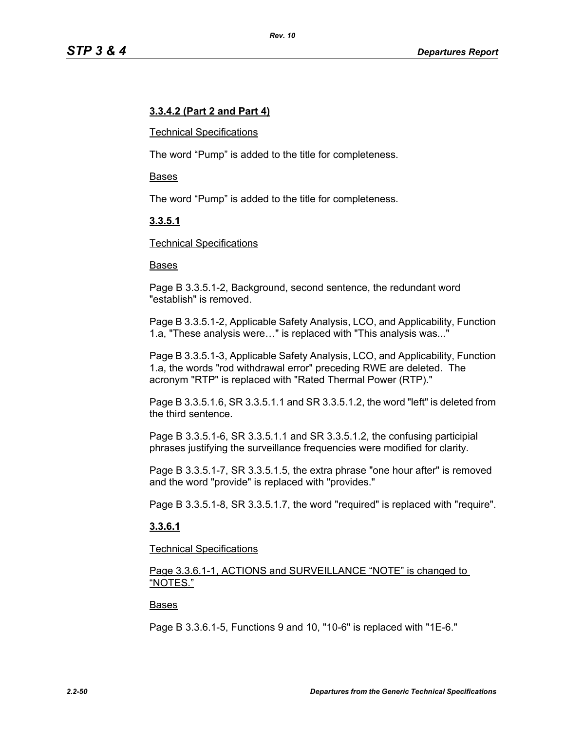## **3.3.4.2 (Part 2 and Part 4)**

#### Technical Specifications

The word "Pump" is added to the title for completeness.

#### Bases

The word "Pump" is added to the title for completeness.

## **3.3.5.1**

#### Technical Specifications

#### Bases

Page B 3.3.5.1-2, Background, second sentence, the redundant word "establish" is removed.

Page B 3.3.5.1-2, Applicable Safety Analysis, LCO, and Applicability, Function 1.a, "These analysis were…" is replaced with "This analysis was..."

Page B 3.3.5.1-3, Applicable Safety Analysis, LCO, and Applicability, Function 1.a, the words "rod withdrawal error" preceding RWE are deleted. The acronym "RTP" is replaced with "Rated Thermal Power (RTP)."

Page B 3.3.5.1.6, SR 3.3.5.1.1 and SR 3.3.5.1.2, the word "left" is deleted from the third sentence.

Page B 3.3.5.1-6, SR 3.3.5.1.1 and SR 3.3.5.1.2, the confusing participial phrases justifying the surveillance frequencies were modified for clarity.

Page B 3.3.5.1-7, SR 3.3.5.1.5, the extra phrase "one hour after" is removed and the word "provide" is replaced with "provides."

Page B 3.3.5.1-8, SR 3.3.5.1.7, the word "required" is replaced with "require".

## **3.3.6.1**

Technical Specifications

Page 3.3.6.1-1, ACTIONS and SURVEILLANCE "NOTE" is changed to "NOTES."

#### Bases

Page B 3.3.6.1-5, Functions 9 and 10, "10-6" is replaced with "1E-6."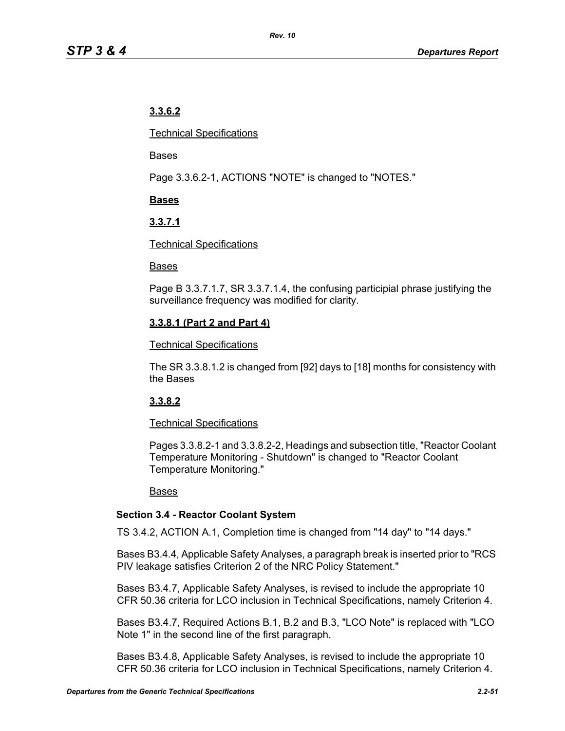# **3.3.6.2**

Technical Specifications

Bases

Page 3.3.6.2-1, ACTIONS "NOTE" is changed to "NOTES."

# **Bases**

# **3.3.7.1**

## Technical Specifications

## Bases

Page B 3.3.7.1.7, SR 3.3.7.1.4, the confusing participial phrase justifying the surveillance frequency was modified for clarity.

# **3.3.8.1 (Part 2 and Part 4)**

## Technical Specifications

The SR 3.3.8.1.2 is changed from [92] days to [18] months for consistency with the Bases

# **3.3.8.2**

# Technical Specifications

Pages 3.3.8.2-1 and 3.3.8.2-2, Headings and subsection title, "Reactor Coolant Temperature Monitoring - Shutdown" is changed to "Reactor Coolant Temperature Monitoring."

## Bases

# **Section 3.4 - Reactor Coolant System**

TS 3.4.2, ACTION A.1, Completion time is changed from "14 day" to "14 days."

Bases B3.4.4, Applicable Safety Analyses, a paragraph break is inserted prior to "RCS PIV leakage satisfies Criterion 2 of the NRC Policy Statement."

Bases B3.4.7, Applicable Safety Analyses, is revised to include the appropriate 10 CFR 50.36 criteria for LCO inclusion in Technical Specifications, namely Criterion 4.

Bases B3.4.7, Required Actions B.1, B.2 and B.3, "LCO Note" is replaced with "LCO Note 1" in the second line of the first paragraph.

Bases B3.4.8, Applicable Safety Analyses, is revised to include the appropriate 10 CFR 50.36 criteria for LCO inclusion in Technical Specifications, namely Criterion 4.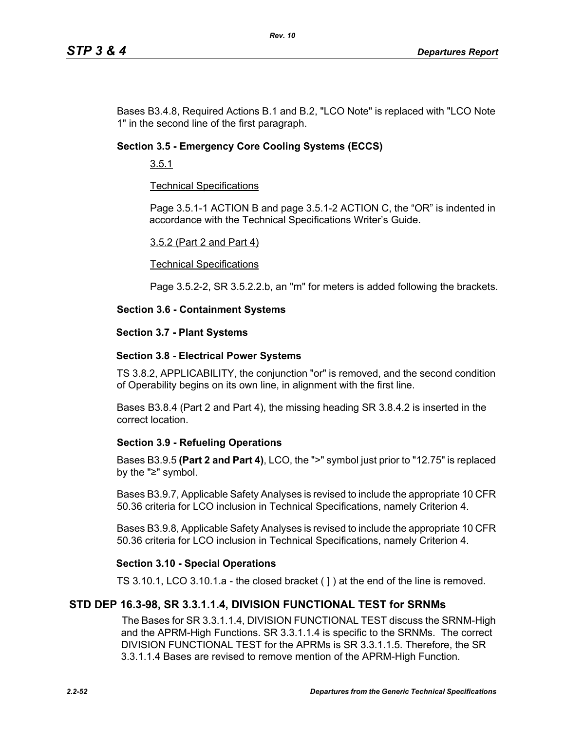Bases B3.4.8, Required Actions B.1 and B.2, "LCO Note" is replaced with "LCO Note 1" in the second line of the first paragraph.

## **Section 3.5 - Emergency Core Cooling Systems (ECCS)**

3.5.1

## Technical Specifications

Page 3.5.1-1 ACTION B and page 3.5.1-2 ACTION C, the "OR" is indented in accordance with the Technical Specifications Writer's Guide.

#### 3.5.2 (Part 2 and Part 4)

#### Technical Specifications

Page 3.5.2-2, SR 3.5.2.2.b, an "m" for meters is added following the brackets.

## **Section 3.6 - Containment Systems**

#### **Section 3.7 - Plant Systems**

## **Section 3.8 - Electrical Power Systems**

TS 3.8.2, APPLICABILITY, the conjunction "or" is removed, and the second condition of Operability begins on its own line, in alignment with the first line.

Bases B3.8.4 (Part 2 and Part 4), the missing heading SR 3.8.4.2 is inserted in the correct location.

## **Section 3.9 - Refueling Operations**

Bases B3.9.5 **(Part 2 and Part 4)**, LCO, the ">" symbol just prior to "12.75" is replaced by the "≥" symbol.

Bases B3.9.7, Applicable Safety Analyses is revised to include the appropriate 10 CFR 50.36 criteria for LCO inclusion in Technical Specifications, namely Criterion 4.

Bases B3.9.8, Applicable Safety Analyses is revised to include the appropriate 10 CFR 50.36 criteria for LCO inclusion in Technical Specifications, namely Criterion 4.

## **Section 3.10 - Special Operations**

TS 3.10.1, LCO 3.10.1.a - the closed bracket ( ] ) at the end of the line is removed.

# **STD DEP 16.3-98, SR 3.3.1.1.4, DIVISION FUNCTIONAL TEST for SRNMs**

The Bases for SR 3.3.1.1.4, DIVISION FUNCTIONAL TEST discuss the SRNM-High and the APRM-High Functions. SR 3.3.1.1.4 is specific to the SRNMs. The correct DIVISION FUNCTIONAL TEST for the APRMs is SR 3.3.1.1.5. Therefore, the SR 3.3.1.1.4 Bases are revised to remove mention of the APRM-High Function.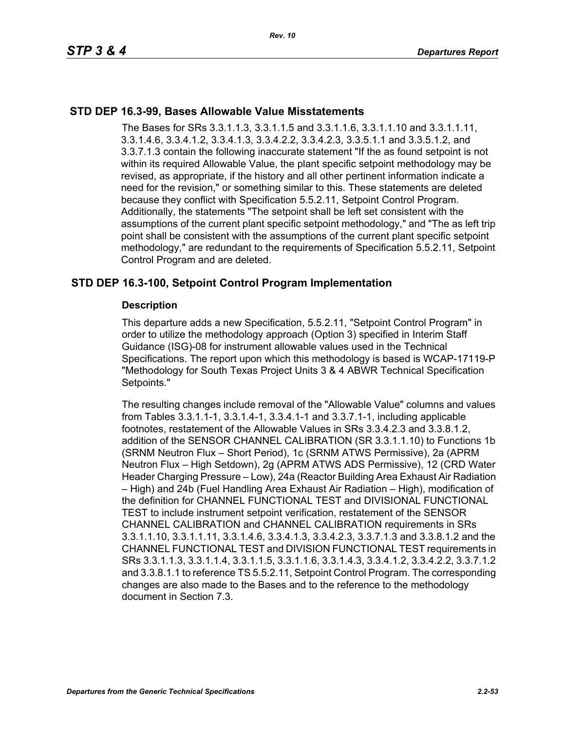## **STD DEP 16.3-99, Bases Allowable Value Misstatements**

The Bases for SRs 3.3.1.1.3, 3.3.1.1.5 and 3.3.1.1.6, 3.3.1.1.10 and 3.3.1.1.11, 3.3.1.4.6, 3.3.4.1.2, 3.3.4.1.3, 3.3.4.2.2, 3.3.4.2.3, 3.3.5.1.1 and 3.3.5.1.2, and 3.3.7.1.3 contain the following inaccurate statement "If the as found setpoint is not within its required Allowable Value, the plant specific setpoint methodology may be revised, as appropriate, if the history and all other pertinent information indicate a need for the revision," or something similar to this. These statements are deleted because they conflict with Specification 5.5.2.11, Setpoint Control Program. Additionally, the statements "The setpoint shall be left set consistent with the assumptions of the current plant specific setpoint methodology," and "The as left trip point shall be consistent with the assumptions of the current plant specific setpoint methodology," are redundant to the requirements of Specification 5.5.2.11, Setpoint Control Program and are deleted.

# **STD DEP 16.3-100, Setpoint Control Program Implementation**

#### **Description**

This departure adds a new Specification, 5.5.2.11, "Setpoint Control Program" in order to utilize the methodology approach (Option 3) specified in Interim Staff Guidance (ISG)-08 for instrument allowable values used in the Technical Specifications. The report upon which this methodology is based is WCAP-17119-P "Methodology for South Texas Project Units 3 & 4 ABWR Technical Specification Setpoints."

The resulting changes include removal of the "Allowable Value" columns and values from Tables 3.3.1.1-1, 3.3.1.4-1, 3.3.4.1-1 and 3.3.7.1-1, including applicable footnotes, restatement of the Allowable Values in SRs 3.3.4.2.3 and 3.3.8.1.2, addition of the SENSOR CHANNEL CALIBRATION (SR 3.3.1.1.10) to Functions 1b (SRNM Neutron Flux – Short Period), 1c (SRNM ATWS Permissive), 2a (APRM Neutron Flux – High Setdown), 2g (APRM ATWS ADS Permissive), 12 (CRD Water Header Charging Pressure – Low), 24a (Reactor Building Area Exhaust Air Radiation – High) and 24b (Fuel Handling Area Exhaust Air Radiation – High), modification of the definition for CHANNEL FUNCTIONAL TEST and DIVISIONAL FUNCTIONAL TEST to include instrument setpoint verification, restatement of the SENSOR CHANNEL CALIBRATION and CHANNEL CALIBRATION requirements in SRs 3.3.1.1.10, 3.3.1.1.11, 3.3.1.4.6, 3.3.4.1.3, 3.3.4.2.3, 3.3.7.1.3 and 3.3.8.1.2 and the CHANNEL FUNCTIONAL TEST and DIVISION FUNCTIONAL TEST requirements in SRs 3.3.1.1.3, 3.3.1.1.4, 3.3.1.1.5, 3.3.1.1.6, 3.3.1.4.3, 3.3.4.1.2, 3.3.4.2.2, 3.3.7.1.2 and 3.3.8.1.1 to reference TS 5.5.2.11, Setpoint Control Program. The corresponding changes are also made to the Bases and to the reference to the methodology document in Section 7.3.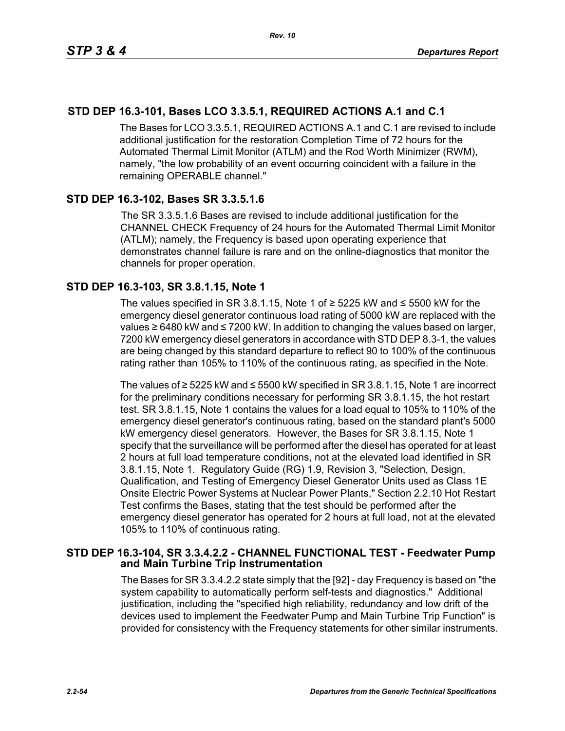# **STD DEP 16.3-101, Bases LCO 3.3.5.1, REQUIRED ACTIONS A.1 and C.1**

The Bases for LCO 3.3.5.1, REQUIRED ACTIONS A.1 and C.1 are revised to include additional justification for the restoration Completion Time of 72 hours for the Automated Thermal Limit Monitor (ATLM) and the Rod Worth Minimizer (RWM), namely, "the low probability of an event occurring coincident with a failure in the remaining OPERABLE channel."

## **STD DEP 16.3-102, Bases SR 3.3.5.1.6**

The SR 3.3.5.1.6 Bases are revised to include additional justification for the CHANNEL CHECK Frequency of 24 hours for the Automated Thermal Limit Monitor (ATLM); namely, the Frequency is based upon operating experience that demonstrates channel failure is rare and on the online-diagnostics that monitor the channels for proper operation.

## **STD DEP 16.3-103, SR 3.8.1.15, Note 1**

The values specified in SR 3.8.1.15, Note 1 of  $≥$  5225 kW and  $≤$  5500 kW for the emergency diesel generator continuous load rating of 5000 kW are replaced with the values ≥ 6480 kW and ≤ 7200 kW. In addition to changing the values based on larger, 7200 kW emergency diesel generators in accordance with STD DEP 8.3-1, the values are being changed by this standard departure to reflect 90 to 100% of the continuous rating rather than 105% to 110% of the continuous rating, as specified in the Note.

The values of ≥ 5225 kW and ≤ 5500 kW specified in SR 3.8.1.15, Note 1 are incorrect for the preliminary conditions necessary for performing SR 3.8.1.15, the hot restart test. SR 3.8.1.15, Note 1 contains the values for a load equal to 105% to 110% of the emergency diesel generator's continuous rating, based on the standard plant's 5000 kW emergency diesel generators. However, the Bases for SR 3.8.1.15, Note 1 specify that the surveillance will be performed after the diesel has operated for at least 2 hours at full load temperature conditions, not at the elevated load identified in SR 3.8.1.15, Note 1. Regulatory Guide (RG) 1.9, Revision 3, "Selection, Design, Qualification, and Testing of Emergency Diesel Generator Units used as Class 1E Onsite Electric Power Systems at Nuclear Power Plants," Section 2.2.10 Hot Restart Test confirms the Bases, stating that the test should be performed after the emergency diesel generator has operated for 2 hours at full load, not at the elevated 105% to 110% of continuous rating.

## **STD DEP 16.3-104, SR 3.3.4.2.2 - CHANNEL FUNCTIONAL TEST - Feedwater Pump and Main Turbine Trip Instrumentation**

The Bases for SR 3.3.4.2.2 state simply that the [92] - day Frequency is based on "the system capability to automatically perform self-tests and diagnostics." Additional justification, including the "specified high reliability, redundancy and low drift of the devices used to implement the Feedwater Pump and Main Turbine Trip Function" is provided for consistency with the Frequency statements for other similar instruments.